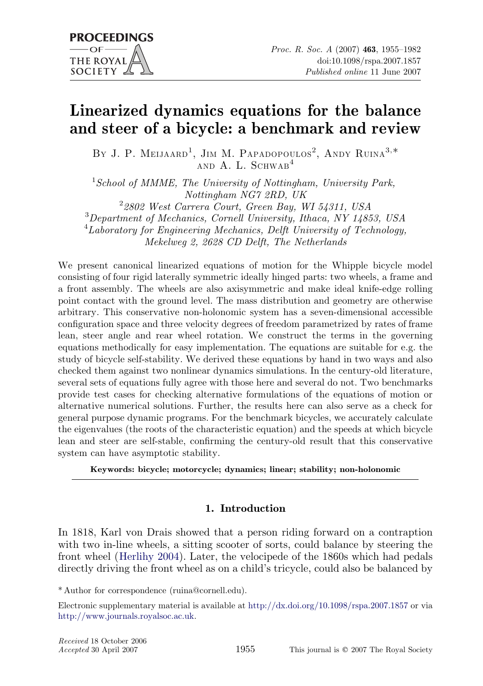# Linearized dynamics equations for the balance and steer of a bicycle: a benchmark and review

BY J. P. MEIJAARD<sup>1</sup>, JIM M. PAPADOPOULOS<sup>2</sup>, ANDY RUINA<sup>3,\*</sup> AND A. L. SCHWAB<sup>4</sup>

 $1$ School of MMME, The University of Nottingham, University Park, Nottingham NG7 2RD, UK

2 2802 West Carrera Court, Green Bay, WI 54311, USA 3 Department of Mechanics, Cornell University, Ithaca, NY 14853, USA <sup>4</sup>Laboratory for Engineering Mechanics, Delft University of Technology,

Mekelweg 2, 2628 CD Delft, The Netherlands

We present canonical linearized equations of motion for the Whipple bicycle model consisting of four rigid laterally symmetric ideally hinged parts: two wheels, a frame and a front assembly. The wheels are also axisymmetric and make ideal knife-edge rolling point contact with the ground level. The mass distribution and geometry are otherwise arbitrary. This conservative non-holonomic system has a seven-dimensional accessible configuration space and three velocity degrees of freedom parametrized by rates of frame lean, steer angle and rear wheel rotation. We construct the terms in the governing equations methodically for easy implementation. The equations are suitable for e.g. the study of bicycle self-stability. We derived these equations by hand in two ways and also checked them against two nonlinear dynamics simulations. In the century-old literature, several sets of equations fully agree with those here and several do not. Two benchmarks provide test cases for checking alternative formulations of the equations of motion or alternative numerical solutions. Further, the results here can also serve as a check for general purpose dynamic programs. For the benchmark bicycles, we accurately calculate the eigenvalues (the roots of the characteristic equation) and the speeds at which bicycle lean and steer are self-stable, confirming the century-old result that this conservative system can have asymptotic stability.

Keywords: bicycle; motorcycle; dynamics; linear; stability; non-holonomic

# 1. Introduction

In 1818, Karl von Drais showed that a person riding forward on a contraption with two in-line wheels, a sitting scooter of sorts, could balance by steering the front wheel ([Herlihy 2004\)](#page-25-0). Later, the velocipede of the 1860s which had pedals directly driving the front wheel as on a child's tricycle, could also be balanced by

\* Author for correspondence (ruina@cornell.edu).

Electronic supplementary material is available at <http://dx.doi.org/10.1098/rspa.2007.1857> or via <http://www.journals.royalsoc.ac.uk>.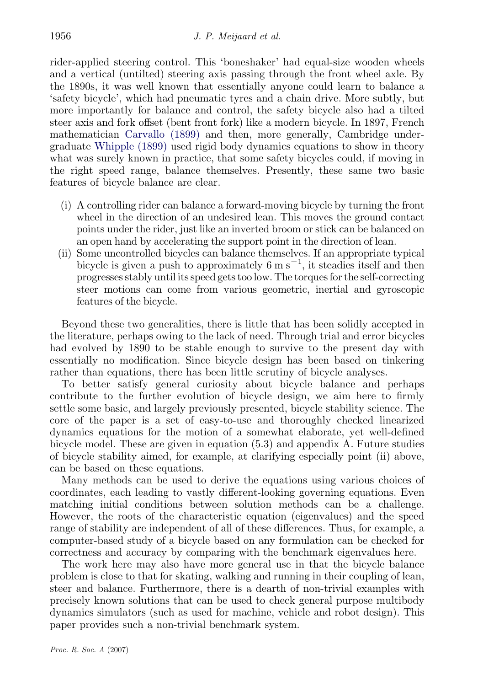rider-applied steering control. This 'boneshaker' had equal-size wooden wheels and a vertical (untilted) steering axis passing through the front wheel axle. By the 1890s, it was well known that essentially anyone could learn to balance a 'safety bicycle', which had pneumatic tyres and a chain drive. More subtly, but more importantly for balance and control, the safety bicycle also had a tilted steer axis and fork offset (bent front fork) like a modern bicycle. In 1897, French mathematician [Carvallo \(1899\)](#page-25-0) and then, more generally, Cambridge undergraduate [Whipple \(1899\)](#page-27-0) used rigid body dynamics equations to show in theory what was surely known in practice, that some safety bicycles could, if moving in the right speed range, balance themselves. Presently, these same two basic features of bicycle balance are clear.

- (i) A controlling rider can balance a forward-moving bicycle by turning the front wheel in the direction of an undesired lean. This moves the ground contact points under the rider, just like an inverted broom or stick can be balanced on an open hand by accelerating the support point in the direction of lean.
- (ii) Some uncontrolled bicycles can balance themselves. If an appropriate typical bicycle is given a push to approximately  $6 \text{ m s}^{-1}$ , it steadies itself and then progresses stably until its speed gets too low. The torques for the self-correcting steer motions can come from various geometric, inertial and gyroscopic features of the bicycle.

Beyond these two generalities, there is little that has been solidly accepted in the literature, perhaps owing to the lack of need. Through trial and error bicycles had evolved by 1890 to be stable enough to survive to the present day with essentially no modification. Since bicycle design has been based on tinkering rather than equations, there has been little scrutiny of bicycle analyses.

To better satisfy general curiosity about bicycle balance and perhaps contribute to the further evolution of bicycle design, we aim here to firmly settle some basic, and largely previously presented, bicycle stability science. The core of the paper is a set of easy-to-use and thoroughly checked linearized dynamics equations for the motion of a somewhat elaborate, yet well-defined bicycle model. These are given in equation (5.3) and appendix A. Future studies of bicycle stability aimed, for example, at clarifying especially point (ii) above, can be based on these equations.

Many methods can be used to derive the equations using various choices of coordinates, each leading to vastly different-looking governing equations. Even matching initial conditions between solution methods can be a challenge. However, the roots of the characteristic equation (eigenvalues) and the speed range of stability are independent of all of these differences. Thus, for example, a computer-based study of a bicycle based on any formulation can be checked for correctness and accuracy by comparing with the benchmark eigenvalues here.

The work here may also have more general use in that the bicycle balance problem is close to that for skating, walking and running in their coupling of lean, steer and balance. Furthermore, there is a dearth of non-trivial examples with precisely known solutions that can be used to check general purpose multibody dynamics simulators (such as used for machine, vehicle and robot design). This paper provides such a non-trivial benchmark system.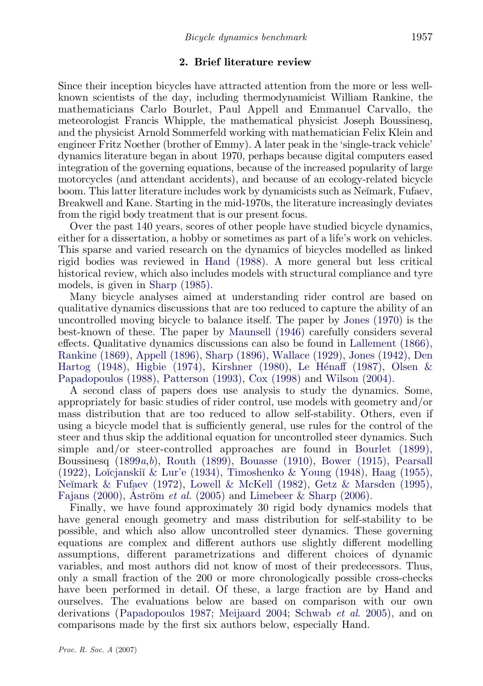## 2. Brief literature review

Since their inception bicycles have attracted attention from the more or less wellknown scientists of the day, including thermodynamicist William Rankine, the mathematicians Carlo Bourlet, Paul Appell and Emmanuel Carvallo, the meteorologist Francis Whipple, the mathematical physicist Joseph Boussinesq, and the physicist Arnold Sommerfeld working with mathematician Felix Klein and engineer Fritz Noether (brother of Emmy). A later peak in the 'single-track vehicle' dynamics literature began in about 1970, perhaps because digital computers eased integration of the governing equations, because of the increased popularity of large motorcycles (and attendant accidents), and because of an ecology-related bicycle boom. This latter literature includes work by dynamicists such as Neimark, Fufaev, Breakwell and Kane. Starting in the mid-1970s, the literature increasingly deviates from the rigid body treatment that is our present focus.

Over the past 140 years, scores of other people have studied bicycle dynamics, either for a dissertation, a hobby or sometimes as part of a life's work on vehicles. This sparse and varied research on the dynamics of bicycles modelled as linked rigid bodies was reviewed in [Hand \(1988\)](#page-25-0). A more general but less critical historical review, which also includes models with structural compliance and tyre models, is given in [Sharp \(1985\).](#page-27-0)

Many bicycle analyses aimed at understanding rider control are based on qualitative dynamics discussions that are too reduced to capture the ability of an uncontrolled moving bicycle to balance itself. The paper by [Jones \(1970\)](#page-25-0) is the best-known of these. The paper by [Maunsell \(1946\)](#page-26-0) carefully considers several effects. Qualitative dynamics discussions can also be found in [Lallement \(1866\),](#page-26-0) [Rankine \(1869\)](#page-26-0), [Appell \(1896\),](#page-24-0) [Sharp \(1896\),](#page-27-0) [Wallace \(1929\),](#page-27-0) [Jones \(1942\)](#page-25-0), [Den](#page-25-0) [Hartog \(1948\)](#page-25-0), [Higbie \(1974\),](#page-25-0) [Kirshner \(1980\),](#page-25-0) Le Hénaff (1987), Olsen  $\&$ [Papadopoulos \(1988\),](#page-26-0) [Patterson \(1993\)](#page-26-0), [Cox \(1998\)](#page-25-0) and [Wilson \(2004\)](#page-27-0).

A second class of papers does use analysis to study the dynamics. Some, appropriately for basic studies of rider control, use models with geometry and/or mass distribution that are too reduced to allow self-stability. Others, even if using a bicycle model that is sufficiently general, use rules for the control of the steer and thus skip the additional equation for uncontrolled steer dynamics. Such simple and/or steer-controlled approaches are found in [Bourlet \(1899\),](#page-24-0) Boussinesq  $(1899a,b)$  $(1899a,b)$  $(1899a,b)$  $(1899a,b)$ , Routh  $(1899)$ , Bouasse  $(1910)$ , Bower  $(1915)$ , [Pearsall](#page-26-0) [\(1922\),](#page-26-0) Loı̆cjanskiı̆ & Lur'e (1934), [Timoshenko & Young \(1948\)](#page-27-0), [Haag \(1955\),](#page-25-0) Neĭmark & Fufaev (1972), [Lowell & McKell \(1982\),](#page-26-0) [Getz & Marsden \(1995\),](#page-25-0) [Fajans \(2000\)](#page-25-0), Aström et al. (2005) and [Limebeer & Sharp \(2006\).](#page-26-0)

Finally, we have found approximately 30 rigid body dynamics models that have general enough geometry and mass distribution for self-stability to be possible, and which also allow uncontrolled steer dynamics. These governing equations are complex and different authors use slightly different modelling assumptions, different parametrizations and different choices of dynamic variables, and most authors did not know of most of their predecessors. Thus, only a small fraction of the 200 or more chronologically possible cross-checks have been performed in detail. Of these, a large fraction are by Hand and ourselves. The evaluations below are based on comparison with our own derivations ([Papadopoulos 1987;](#page-26-0) [Meijaard 2004](#page-26-0); [Schwab](#page-27-0) et al. 2005), and on comparisons made by the first six authors below, especially Hand.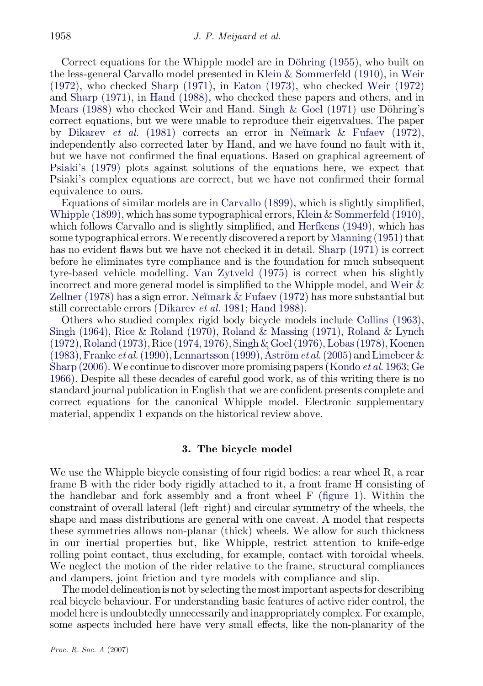Correct equations for the Whipple model are in Döhring (1955), who built on the less-general Carvallo model presented in [Klein & Sommerfeld \(1910\),](#page-25-0) in [Weir](#page-27-0) [\(1972\)](#page-27-0), who checked [Sharp \(1971\)](#page-27-0), in [Eaton \(1973\),](#page-25-0) who checked [Weir \(1972\)](#page-27-0) and [Sharp \(1971\),](#page-27-0) in [Hand \(1988\),](#page-25-0) who checked these papers and others, and in [Mears \(1988\)](#page-26-0) who checked Weir and Hand. Singh  $\&$  Goel (1971) use Döhring's correct equations, but we were unable to reproduce their eigenvalues. The paper by [Dikarev](#page-25-0) *et al.* (1981) corrects an error in Neimark & Fufaev (1972), independently also corrected later by Hand, and we have found no fault with it, but we have not confirmed the final equations. Based on graphical agreement of [Psiaki's \(1979\)](#page-26-0) plots against solutions of the equations here, we expect that Psiaki's complex equations are correct, but we have not confirmed their formal equivalence to ours.

Equations of similar models are in [Carvallo \(1899\),](#page-25-0) which is slightly simplified, Whipple  $(1899)$ , which has some typographical errors, Klein & Sommerfeld  $(1910)$ , which follows Carvallo and is slightly simplified, and [Herfkens \(1949\),](#page-25-0) which has some typographical errors. We recently discovered a report by Manning  $(1951)$  that has no evident flaws but we have not checked it in detail. [Sharp \(1971\)](#page-27-0) is correct before he eliminates tyre compliance and is the foundation for much subsequent tyre-based vehicle modelling. [Van Zytveld \(1975\)](#page-27-0) is correct when his slightly incorrect and more general model is simplified to the Whipple model, and [Weir &](#page-27-0) [Zellner \(1978\)](#page-27-0) has a sign error. Neimark  $&$  Fufaev (1972) has more substantial but still correctable errors ([Dikarev](#page-25-0) et al. 1981; [Hand 1988](#page-25-0)).

Others who studied complex rigid body bicycle models include [Collins \(1963\)](#page-25-0), [Singh \(1964\)](#page-27-0), [Rice & Roland \(1970\)](#page-26-0), [Roland & Massing \(1971\),](#page-27-0) [Roland & Lynch](#page-26-0) [\(1972\),](#page-26-0) [Roland \(1973\)](#page-26-0), Rice ([1974,](#page-26-0) [1976](#page-26-0)), [Singh & Goel \(1976\)](#page-27-0), [Lobas \(1978\)](#page-26-0),[Koenen](#page-25-0) (1983), Franke et al. (1990), [Lennartsson \(1999\)](#page-26-0), Aström et al. (2005) and Limebeer  $\&$ [Sharp \(2006\).](#page-26-0)We continue to discover more promising papers ([Kondo](#page-26-0) et al. 1963; [Ge](#page-25-0) [1966](#page-25-0)). Despite all these decades of careful good work, as of this writing there is no standard journal publication in English that we are confident presents complete and correct equations for the canonical Whipple model. Electronic supplementary material, appendix 1 expands on the historical review above.

## 3. The bicycle model

We use the Whipple bicycle consisting of four rigid bodies: a rear wheel R, a rear frame B with the rider body rigidly attached to it, a front frame H consisting of the handlebar and fork assembly and a front wheel F [\(figure 1\)](#page-4-0). Within the constraint of overall lateral (left–right) and circular symmetry of the wheels, the shape and mass distributions are general with one caveat. A model that respects these symmetries allows non-planar (thick) wheels. We allow for such thickness in our inertial properties but, like Whipple, restrict attention to knife-edge rolling point contact, thus excluding, for example, contact with toroidal wheels. We neglect the motion of the rider relative to the frame, structural compliances and dampers, joint friction and tyre models with compliance and slip.

The model delineation is not by selecting the most important aspects for describing real bicycle behaviour. For understanding basic features of active rider control, the model here is undoubtedly unnecessarily and inappropriately complex. For example, some aspects included here have very small effects, like the non-planarity of the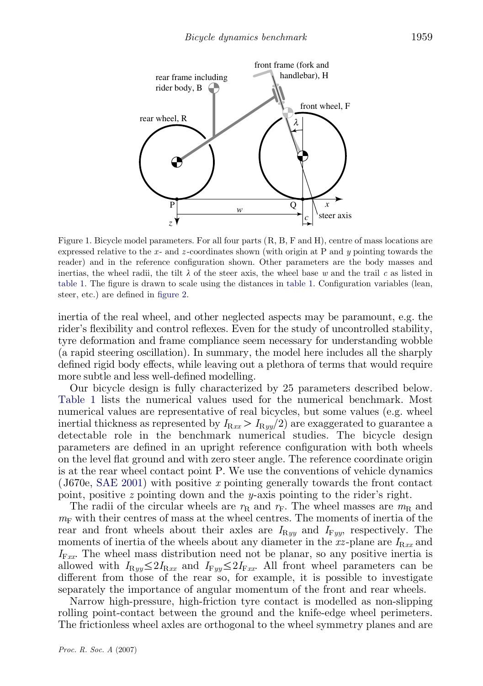<span id="page-4-0"></span>

Figure 1. Bicycle model parameters. For all four parts (R, B, F and H), centre of mass locations are expressed relative to the x- and z-coordinates shown (with origin at P and  $\eta$  pointing towards the reader) and in the reference configuration shown. Other parameters are the body masses and inertias, the wheel radii, the tilt  $\lambda$  of the steer axis, the wheel base w and the trail c as listed in [table 1](#page-5-0). The figure is drawn to scale using the distances in [table 1.](#page-5-0) Configuration variables (lean, steer, etc.) are defined in [figure 2](#page-8-0).

inertia of the real wheel, and other neglected aspects may be paramount, e.g. the rider's flexibility and control reflexes. Even for the study of uncontrolled stability, tyre deformation and frame compliance seem necessary for understanding wobble (a rapid steering oscillation). In summary, the model here includes all the sharply defined rigid body effects, while leaving out a plethora of terms that would require more subtle and less well-defined modelling.

Our bicycle design is fully characterized by 25 parameters described below. [Table 1](#page-5-0) lists the numerical values used for the numerical benchmark. Most numerical values are representative of real bicycles, but some values (e.g. wheel inertial thickness as represented by  $I_{\text{Rxx}} > I_{\text{Ryy}}/2$  are exaggerated to guarantee a detectable role in the benchmark numerical studies. The bicycle design parameters are defined in an upright reference configuration with both wheels on the level flat ground and with zero steer angle. The reference coordinate origin is at the rear wheel contact point P. We use the conventions of vehicle dynamics  $(1670e, SAE 2001)$  $(1670e, SAE 2001)$  with positive x pointing generally towards the front contact point, positive z pointing down and the y-axis pointing to the rider's right.

The radii of the circular wheels are  $r_R$  and  $r_F$ . The wheel masses are  $m_R$  and  $m<sub>F</sub>$  with their centres of mass at the wheel centres. The moments of inertia of the rear and front wheels about their axles are  $I_{\text{R}yy}$  and  $I_{\text{F}yy}$ , respectively. The moments of inertia of the wheels about any diameter in the xz-plane are  $I_{\mathrm{R}xx}$  and  $I_{\text{F}xx}$ . The wheel mass distribution need not be planar, so any positive inertia is allowed with  $I_{\text{R}yy} \leq 2I_{\text{R}xx}$  and  $I_{\text{F}yy} \leq 2I_{\text{F}xx}$ . All front wheel parameters can be different from those of the rear so, for example, it is possible to investigate separately the importance of angular momentum of the front and rear wheels.

Narrow high-pressure, high-friction tyre contact is modelled as non-slipping rolling point-contact between the ground and the knife-edge wheel perimeters. The frictionless wheel axles are orthogonal to the wheel symmetry planes and are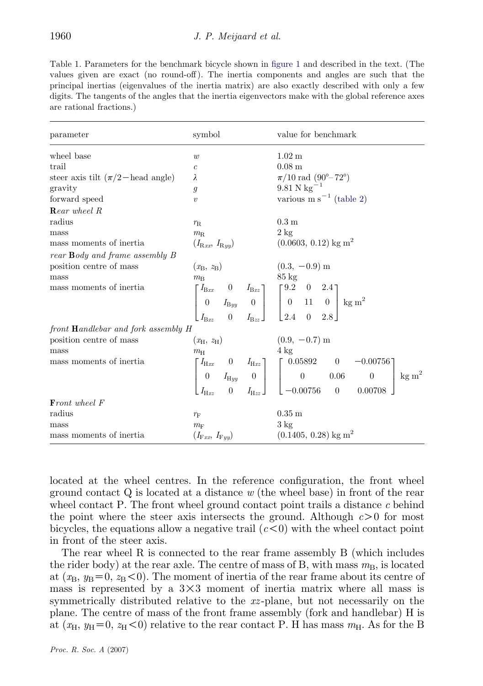<span id="page-5-0"></span>Table 1. Parameters for the benchmark bicycle shown in [figure 1](#page-4-0) and described in the text. (The values given are exact (no round-off ). The inertia components and angles are such that the principal inertias (eigenvalues of the inertia matrix) are also exactly described with only a few digits. The tangents of the angles that the inertia eigenvectors make with the global reference axes are rational fractions.)

| parameter                                     | symbol                                                                                                                  | value for benchmark                                                                                                                                                                                                                                                                                       |  |
|-----------------------------------------------|-------------------------------------------------------------------------------------------------------------------------|-----------------------------------------------------------------------------------------------------------------------------------------------------------------------------------------------------------------------------------------------------------------------------------------------------------|--|
| wheel base                                    | w                                                                                                                       | $1.02 \text{ m}$                                                                                                                                                                                                                                                                                          |  |
| trail                                         | $\boldsymbol{c}$                                                                                                        | 0.08 <sub>m</sub>                                                                                                                                                                                                                                                                                         |  |
| steer axis tilt $(\pi/2 - \text{head angle})$ | $\lambda$                                                                                                               | $\pi/10$ rad $(90^\circ\!\!-\!72^\circ)$                                                                                                                                                                                                                                                                  |  |
| gravity                                       | $\mathfrak{g}$                                                                                                          | $9.81 N kg^{-1}$                                                                                                                                                                                                                                                                                          |  |
| forward speed                                 | $\eta$                                                                                                                  | various m s <sup><math>-1</math></sup> (table 2)                                                                                                                                                                                                                                                          |  |
| $\bf{R}$ ear wheel R                          |                                                                                                                         |                                                                                                                                                                                                                                                                                                           |  |
| radius                                        | $r_{\rm R}$                                                                                                             | 0.3 <sub>m</sub>                                                                                                                                                                                                                                                                                          |  |
| mass                                          | $m_{\rm R}$                                                                                                             | $2 \text{ kg}$                                                                                                                                                                                                                                                                                            |  |
| mass moments of inertia                       | $(I_{\mathrm{R}xx}, I_{\mathrm{R}yy})$                                                                                  | $(0.0603, 0.12)$ kg m <sup>2</sup>                                                                                                                                                                                                                                                                        |  |
| rear <b>B</b> ody and frame assembly B        |                                                                                                                         |                                                                                                                                                                                                                                                                                                           |  |
| position centre of mass                       | $(x_B, z_B)$ $(0.3, -0.9)$ m<br>$m_B$ $85$ kg                                                                           |                                                                                                                                                                                                                                                                                                           |  |
| mass                                          |                                                                                                                         |                                                                                                                                                                                                                                                                                                           |  |
| mass moments of inertia                       |                                                                                                                         |                                                                                                                                                                                                                                                                                                           |  |
|                                               |                                                                                                                         | $\begin{bmatrix} I_{\mathrm{B}xx} & 0 & I_{\mathrm{B}xz} \\[0.5em] 0 & I_{\mathrm{B}yy} & 0 \\[0.5em] I_{\mathrm{B}xz} & 0 & I_{\mathrm{B}zz} \end{bmatrix} \quad \begin{bmatrix} 9.2 & 0 & 2.4 \\[0.5em] 0 & 11 & 0 \\[0.5em] 2.4 & 0 & 2.8 \end{bmatrix} \; \mathrm{kg} \; \mathrm{m}^2$                |  |
|                                               |                                                                                                                         |                                                                                                                                                                                                                                                                                                           |  |
| front Handlebar and fork assembly H           |                                                                                                                         |                                                                                                                                                                                                                                                                                                           |  |
| position centre of mass                       | $\begin{array}{ll} (x_{\rm H},~z_{\rm H}) & \qquad (0.9,~-0.7)~{\rm m} \\ m_{\rm H} & \qquad 4~{\rm kg} \\ \end{array}$ |                                                                                                                                                                                                                                                                                                           |  |
| mass                                          |                                                                                                                         |                                                                                                                                                                                                                                                                                                           |  |
| mass moments of inertia                       |                                                                                                                         |                                                                                                                                                                                                                                                                                                           |  |
|                                               |                                                                                                                         | $\begin{bmatrix} I_{\mathrm Hxx} & 0 & I_{\mathrm Hxz} \\[0.3em] 0 & I_{\mathrm Hyy} & 0 \\[0.3em] I_{\mathrm Hxz} & 0 & I_{\mathrm Hzz} \end{bmatrix} \quad \begin{bmatrix} 0.05892 & 0 & -0.00756 \\[0.3em] 0 & 0.06 & 0 \\[0.3em] -0.00756 & 0 & 0.00708 \end{bmatrix} \; \mathrm{kg} \; \mathrm{m}^2$ |  |
|                                               |                                                                                                                         |                                                                                                                                                                                                                                                                                                           |  |
| $\mathbf{F}$ ront wheel $F$                   |                                                                                                                         |                                                                                                                                                                                                                                                                                                           |  |
| radius                                        | $r_{\rm F}$                                                                                                             | $0.35 \text{ m}$                                                                                                                                                                                                                                                                                          |  |
| mass                                          | $m_{\rm F}$                                                                                                             | $3 \text{ kg}$                                                                                                                                                                                                                                                                                            |  |
| mass moments of inertia                       | $(I_{\mathrm{F}xx}, I_{\mathrm{F}yy})$                                                                                  | $(0.1405, 0.28)$ kg m <sup>2</sup>                                                                                                                                                                                                                                                                        |  |

located at the wheel centres. In the reference configuration, the front wheel ground contact  $Q$  is located at a distance w (the wheel base) in front of the rear wheel contact P. The front wheel ground contact point trails a distance c behind the point where the steer axis intersects the ground. Although  $c>0$  for most bicycles, the equations allow a negative trail  $(c<0)$  with the wheel contact point in front of the steer axis.

The rear wheel R is connected to the rear frame assembly B (which includes the rider body) at the rear axle. The centre of mass of B, with mass  $m<sub>B</sub>$ , is located at  $(x_B, y_B=0, z_B<0)$ . The moment of inertia of the rear frame about its centre of mass is represented by a  $3 \times 3$  moment of inertia matrix where all mass is symmetrically distributed relative to the xz-plane, but not necessarily on the plane. The centre of mass of the front frame assembly (fork and handlebar) H is at  $(x_H, y_H=0, z_H<0)$  relative to the rear contact P. H has mass  $m<sub>H</sub>$ . As for the B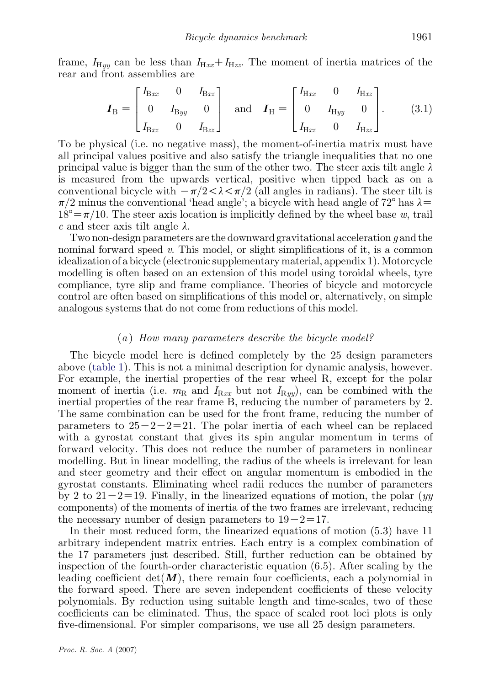frame,  $I_{\text{H}yy}$  can be less than  $I_{\text{H}xx} + I_{\text{H}zz}$ . The moment of inertia matrices of the rear and front assemblies are

$$
\boldsymbol{I}_{\rm B} = \begin{bmatrix} I_{\rm Bxx} & 0 & I_{\rm Bxz} \\ 0 & I_{\rm Byy} & 0 \\ I_{\rm Bzz} & 0 & I_{\rm Bzz} \end{bmatrix} \text{ and } \boldsymbol{I}_{\rm H} = \begin{bmatrix} I_{\rm Hxx} & 0 & I_{\rm Hxz} \\ 0 & I_{\rm Hyy} & 0 \\ I_{\rm Hxz} & 0 & I_{\rm Hzz} \end{bmatrix} . \tag{3.1}
$$

To be physical (i.e. no negative mass), the moment-of-inertia matrix must have all principal values positive and also satisfy the triangle inequalities that no one principal value is bigger than the sum of the other two. The steer axis tilt angle  $\lambda$ is measured from the upwards vertical, positive when tipped back as on a conventional bicycle with  $-\pi/2 < \lambda < \pi/2$  (all angles in radians). The steer tilt is  $\pi/2$  minus the conventional 'head angle'; a bicycle with head angle of 72<sup>°</sup> has  $\lambda$ =  $18^{\circ} = \pi/10$ . The steer axis location is implicitly defined by the wheel base w, trail c and steer axis tilt angle  $\lambda$ .

Two non-design parameters are the downward gravitational acceleration q and the nominal forward speed v. This model, or slight simplifications of it, is a common idealization of a bicycle (electronic supplementary material, appendix 1). Motorcycle modelling is often based on an extension of this model using toroidal wheels, tyre compliance, tyre slip and frame compliance. Theories of bicycle and motorcycle control are often based on simplifications of this model or, alternatively, on simple analogous systems that do not come from reductions of this model.

## (a ) How many parameters describe the bicycle model?

The bicycle model here is defined completely by the 25 design parameters above [\(table 1](#page-5-0)). This is not a minimal description for dynamic analysis, however. For example, the inertial properties of the rear wheel R, except for the polar moment of inertia (i.e.  $m_R$  and  $I_{Rxx}$  but not  $I_{Ryy}$ ), can be combined with the inertial properties of the rear frame B, reducing the number of parameters by 2. The same combination can be used for the front frame, reducing the number of parameters to  $25-2-2=21$ . The polar inertia of each wheel can be replaced with a gyrostat constant that gives its spin angular momentum in terms of forward velocity. This does not reduce the number of parameters in nonlinear modelling. But in linear modelling, the radius of the wheels is irrelevant for lean and steer geometry and their effect on angular momentum is embodied in the gyrostat constants. Eliminating wheel radii reduces the number of parameters by 2 to  $21-2=19$ . Finally, in the linearized equations of motion, the polar (yy components) of the moments of inertia of the two frames are irrelevant, reducing the necessary number of design parameters to  $19-2=17$ .

In their most reduced form, the linearized equations of motion (5.3) have 11 arbitrary independent matrix entries. Each entry is a complex combination of the 17 parameters just described. Still, further reduction can be obtained by inspection of the fourth-order characteristic equation (6.5). After scaling by the leading coefficient  $\det(\mathbf{M})$ , there remain four coefficients, each a polynomial in the forward speed. There are seven independent coefficients of these velocity polynomials. By reduction using suitable length and time-scales, two of these coefficients can be eliminated. Thus, the space of scaled root loci plots is only five-dimensional. For simpler comparisons, we use all 25 design parameters.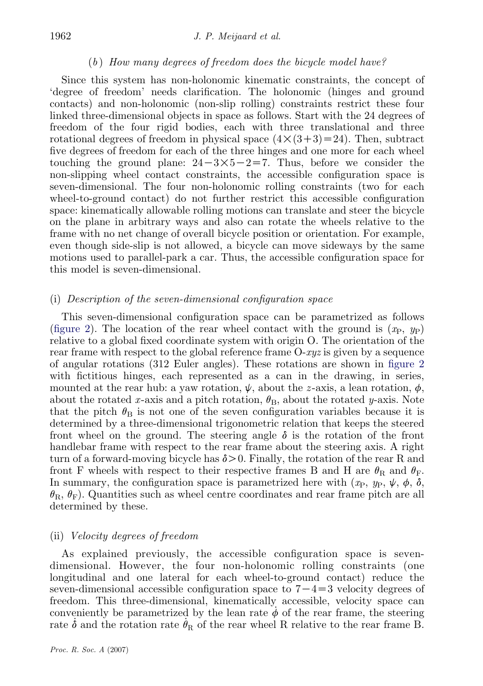#### $(b)$  How many degrees of freedom does the bicycle model have?

Since this system has non-holonomic kinematic constraints, the concept of 'degree of freedom' needs clarification. The holonomic (hinges and ground contacts) and non-holonomic (non-slip rolling) constraints restrict these four linked three-dimensional objects in space as follows. Start with the 24 degrees of freedom of the four rigid bodies, each with three translational and three rotational degrees of freedom in physical space  $(4 \times (3+3)=24)$ . Then, subtract five degrees of freedom for each of the three hinges and one more for each wheel touching the ground plane:  $24-3\times5-2=7$ . Thus, before we consider the non-slipping wheel contact constraints, the accessible configuration space is seven-dimensional. The four non-holonomic rolling constraints (two for each wheel-to-ground contact) do not further restrict this accessible configuration space: kinematically allowable rolling motions can translate and steer the bicycle on the plane in arbitrary ways and also can rotate the wheels relative to the frame with no net change of overall bicycle position or orientation. For example, even though side-slip is not allowed, a bicycle can move sideways by the same motions used to parallel-park a car. Thus, the accessible configuration space for this model is seven-dimensional.

## (i) Description of the seven-dimensional configuration space

This seven-dimensional configuration space can be parametrized as follows [\(figure 2](#page-8-0)). The location of the rear wheel contact with the ground is  $(x_P, y_P)$ ) relative to a global fixed coordinate system with origin O. The orientation of the rear frame with respect to the global reference frame  $0$ -xyz is given by a sequence of angular rotations (312 Euler angles). These rotations are shown in [figure 2](#page-8-0) with fictitious hinges, each represented as a can in the drawing, in series, mounted at the rear hub: a yaw rotation,  $\psi$ , about the z-axis, a lean rotation,  $\phi$ , about the rotated x-axis and a pitch rotation,  $\theta_B$ , about the rotated y-axis. Note that the pitch  $\theta_B$  is not one of the seven configuration variables because it is determined by a three-dimensional trigonometric relation that keeps the steered front wheel on the ground. The steering angle  $\delta$  is the rotation of the front handlebar frame with respect to the rear frame about the steering axis. A right turn of a forward-moving bicycle has  $\delta > 0$ . Finally, the rotation of the rear R and front F wheels with respect to their respective frames B and H are  $\theta_R$  and  $\theta_F$ . In summary, the configuration space is parametrized here with  $(x_P, y_P, \psi, \phi, \delta,$  $\theta_{\rm R}$ ,  $\theta_{\rm F}$ ). Quantities such as wheel centre coordinates and rear frame pitch are all determined by these.

## (ii) Velocity degrees of freedom

As explained previously, the accessible configuration space is sevendimensional. However, the four non-holonomic rolling constraints (one longitudinal and one lateral for each wheel-to-ground contact) reduce the seven-dimensional accessible configuration space to  $7-4=3$  velocity degrees of freedom. This three-dimensional, kinematically accessible, velocity space can conveniently be parametrized by the lean rate  $\phi$  of the rear frame, the steering rate  $\dot{\delta}$  and the rotation rate  $\dot{\theta}_R$  of the rear wheel R relative to the rear frame B.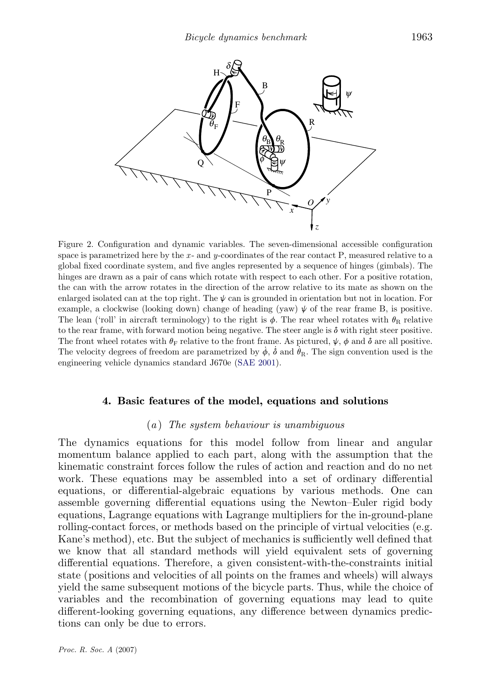<span id="page-8-0"></span>

Figure 2. Configuration and dynamic variables. The seven-dimensional accessible configuration space is parametrized here by the  $x$ - and  $y$ -coordinates of the rear contact P, measured relative to a global fixed coordinate system, and five angles represented by a sequence of hinges (gimbals). The hinges are drawn as a pair of cans which rotate with respect to each other. For a positive rotation, the can with the arrow rotates in the direction of the arrow relative to its mate as shown on the enlarged isolated can at the top right. The  $\psi$  can is grounded in orientation but not in location. For example, a clockwise (looking down) change of heading (yaw)  $\psi$  of the rear frame B, is positive. The lean ('roll' in aircraft terminology) to the right is  $\phi$ . The rear wheel rotates with  $\theta_R$  relative to the rear frame, with forward motion being negative. The steer angle is  $\delta$  with right steer positive. The front wheel rotates with  $\theta_F$  relative to the front frame. As pictured,  $\psi$ ,  $\phi$  and  $\delta$  are all positive. The velocity degrees of freedom are parametrized by  $\dot{\phi}$ ,  $\dot{\delta}$  and  $\dot{\theta}_R$ . The sign convention used is the engineering vehicle dynamics standard J670e ([SAE 2001\)](#page-27-0).

## 4. Basic features of the model, equations and solutions

## (a ) The system behaviour is unambiguous

The dynamics equations for this model follow from linear and angular momentum balance applied to each part, along with the assumption that the kinematic constraint forces follow the rules of action and reaction and do no net work. These equations may be assembled into a set of ordinary differential equations, or differential-algebraic equations by various methods. One can assemble governing differential equations using the Newton–Euler rigid body equations, Lagrange equations with Lagrange multipliers for the in-ground-plane rolling-contact forces, or methods based on the principle of virtual velocities (e.g. Kane's method), etc. But the subject of mechanics is sufficiently well defined that we know that all standard methods will yield equivalent sets of governing differential equations. Therefore, a given consistent-with-the-constraints initial state (positions and velocities of all points on the frames and wheels) will always yield the same subsequent motions of the bicycle parts. Thus, while the choice of variables and the recombination of governing equations may lead to quite different-looking governing equations, any difference between dynamics predictions can only be due to errors.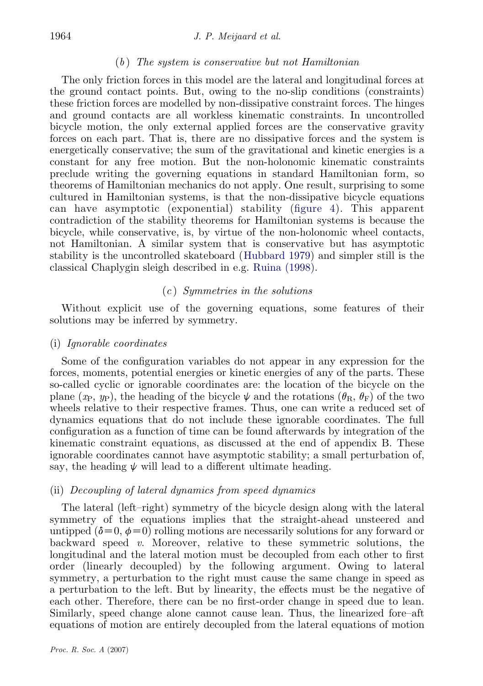#### 1964 J. P. Meijaard et al.

#### $(b)$  The system is conservative but not Hamiltonian

The only friction forces in this model are the lateral and longitudinal forces at the ground contact points. But, owing to the no-slip conditions (constraints) these friction forces are modelled by non-dissipative constraint forces. The hinges and ground contacts are all workless kinematic constraints. In uncontrolled bicycle motion, the only external applied forces are the conservative gravity forces on each part. That is, there are no dissipative forces and the system is energetically conservative; the sum of the gravitational and kinetic energies is a constant for any free motion. But the non-holonomic kinematic constraints preclude writing the governing equations in standard Hamiltonian form, so theorems of Hamiltonian mechanics do not apply. One result, surprising to some cultured in Hamiltonian systems, is that the non-dissipative bicycle equations can have asymptotic (exponential) stability ([figure 4\)](#page-19-0). This apparent contradiction of the stability theorems for Hamiltonian systems is because the bicycle, while conservative, is, by virtue of the non-holonomic wheel contacts, not Hamiltonian. A similar system that is conservative but has asymptotic stability is the uncontrolled skateboard ([Hubbard 1979\)](#page-25-0) and simpler still is the classical Chaplygin sleigh described in e.g. [Ruina \(1998\)](#page-27-0).

## $(c)$  Symmetries in the solutions

Without explicit use of the governing equations, some features of their solutions may be inferred by symmetry.

## (i) Ignorable coordinates

Some of the configuration variables do not appear in any expression for the forces, moments, potential energies or kinetic energies of any of the parts. These so-called cyclic or ignorable coordinates are: the location of the bicycle on the plane  $(x_P, y_P)$ , the heading of the bicycle  $\psi$  and the rotations  $(\theta_R, \theta_F)$  of the two wheels relative to their respective frames. Thus, one can write a reduced set of dynamics equations that do not include these ignorable coordinates. The full configuration as a function of time can be found afterwards by integration of the kinematic constraint equations, as discussed at the end of appendix B. These ignorable coordinates cannot have asymptotic stability; a small perturbation of, say, the heading  $\psi$  will lead to a different ultimate heading.

## (ii) Decoupling of lateral dynamics from speed dynamics

The lateral (left–right) symmetry of the bicycle design along with the lateral symmetry of the equations implies that the straight-ahead unsteered and untipped  $(\delta=0, \phi=0)$  rolling motions are necessarily solutions for any forward or backward speed v. Moreover, relative to these symmetric solutions, the longitudinal and the lateral motion must be decoupled from each other to first order (linearly decoupled) by the following argument. Owing to lateral symmetry, a perturbation to the right must cause the same change in speed as a perturbation to the left. But by linearity, the effects must be the negative of each other. Therefore, there can be no first-order change in speed due to lean. Similarly, speed change alone cannot cause lean. Thus, the linearized fore–aft equations of motion are entirely decoupled from the lateral equations of motion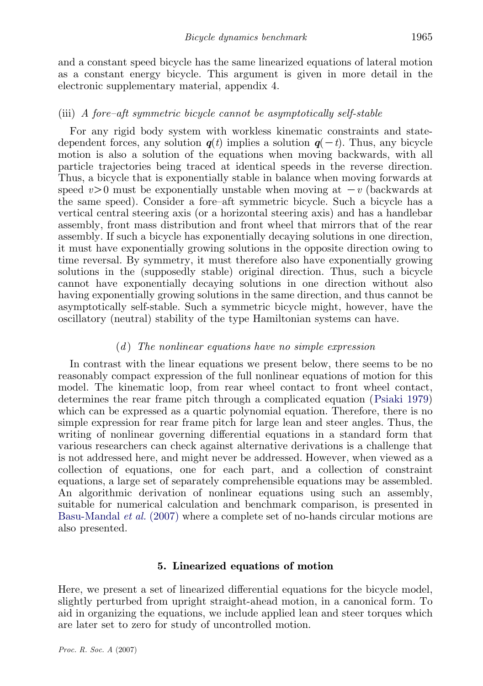and a constant speed bicycle has the same linearized equations of lateral motion as a constant energy bicycle. This argument is given in more detail in the electronic supplementary material, appendix 4.

# (iii) A fore–aft symmetric bicycle cannot be asymptotically self-stable

For any rigid body system with workless kinematic constraints and statedependent forces, any solution  $q(t)$  implies a solution  $q(-t)$ . Thus, any bicycle motion is also a solution of the equations when moving backwards, with all particle trajectories being traced at identical speeds in the reverse direction. Thus, a bicycle that is exponentially stable in balance when moving forwards at speed  $v>0$  must be exponentially unstable when moving at  $-v$  (backwards at the same speed). Consider a fore–aft symmetric bicycle. Such a bicycle has a vertical central steering axis (or a horizontal steering axis) and has a handlebar assembly, front mass distribution and front wheel that mirrors that of the rear assembly. If such a bicycle has exponentially decaying solutions in one direction, it must have exponentially growing solutions in the opposite direction owing to time reversal. By symmetry, it must therefore also have exponentially growing solutions in the (supposedly stable) original direction. Thus, such a bicycle cannot have exponentially decaying solutions in one direction without also having exponentially growing solutions in the same direction, and thus cannot be asymptotically self-stable. Such a symmetric bicycle might, however, have the oscillatory (neutral) stability of the type Hamiltonian systems can have.

## $(d)$  The nonlinear equations have no simple expression

In contrast with the linear equations we present below, there seems to be no reasonably compact expression of the full nonlinear equations of motion for this model. The kinematic loop, from rear wheel contact to front wheel contact, determines the rear frame pitch through a complicated equation ([Psiaki 1979\)](#page-26-0) which can be expressed as a quartic polynomial equation. Therefore, there is no simple expression for rear frame pitch for large lean and steer angles. Thus, the writing of nonlinear governing differential equations in a standard form that various researchers can check against alternative derivations is a challenge that is not addressed here, and might never be addressed. However, when viewed as a collection of equations, one for each part, and a collection of constraint equations, a large set of separately comprehensible equations may be assembled. An algorithmic derivation of nonlinear equations using such an assembly, suitable for numerical calculation and benchmark comparison, is presented in [Basu-Mandal](#page-24-0) et al. (2007) where a complete set of no-hands circular motions are also presented.

# 5. Linearized equations of motion

Here, we present a set of linearized differential equations for the bicycle model, slightly perturbed from upright straight-ahead motion, in a canonical form. To aid in organizing the equations, we include applied lean and steer torques which are later set to zero for study of uncontrolled motion.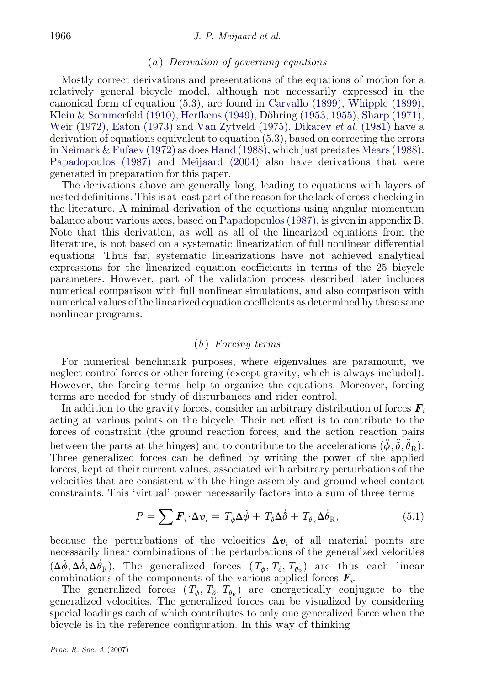#### 1966 J. P. Meijaard et al.

## (a ) Derivation of governing equations

Mostly correct derivations and presentations of the equations of motion for a relatively general bicycle model, although not necessarily expressed in the canonical form of equation (5.3), are found in [Carvallo \(1899\),](#page-25-0) [Whipple \(1899\)](#page-27-0), [Klein & Sommerfeld \(1910\)](#page-25-0), [Herfkens \(1949\)](#page-25-0), Döhring [\(1953](#page-25-0), [1955\)](#page-25-0), [Sharp \(1971\)](#page-27-0), [Weir \(1972\)](#page-27-0), [Eaton \(1973\)](#page-25-0) and [Van Zytveld \(1975\)](#page-27-0). [Dikarev](#page-25-0) et al. (1981) have a derivation of equations equivalent to equation (5.3), based on correcting the errors in Neimark  $&$  Fufaev (1972) as does [Hand \(1988\)](#page-25-0), which just predates [Mears \(1988\)](#page-26-0). [Papadopoulos \(1987\)](#page-26-0) and [Meijaard \(2004\)](#page-26-0) also have derivations that were generated in preparation for this paper.

The derivations above are generally long, leading to equations with layers of nested definitions. This is at least part of the reason for the lack of cross-checking in the literature. A minimal derivation of the equations using angular momentum balance about various axes, based on [Papadopoulos \(1987\),](#page-26-0) is given in appendix B. Note that this derivation, as well as all of the linearized equations from the literature, is not based on a systematic linearization of full nonlinear differential equations. Thus far, systematic linearizations have not achieved analytical expressions for the linearized equation coefficients in terms of the 25 bicycle parameters. However, part of the validation process described later includes numerical comparison with full nonlinear simulations, and also comparison with numerical values of the linearized equation coefficients as determined by these same nonlinear programs.

## $(b)$  Forcing terms

For numerical benchmark purposes, where eigenvalues are paramount, we neglect control forces or other forcing (except gravity, which is always included). However, the forcing terms help to organize the equations. Moreover, forcing terms are needed for study of disturbances and rider control.

In addition to the gravity forces, consider an arbitrary distribution of forces  $\mathbf{F}_i$ acting at various points on the bicycle. Their net effect is to contribute to the forces of constraint (the ground reaction forces, and the action–reaction pairs between the parts at the hinges) and to contribute to the accelerations  $(\ddot{\phi}, \ddot{\delta}, \ddot{\theta}_R)$ . Three generalized forces can be defined by writing the power of the applied forces, kept at their current values, associated with arbitrary perturbations of the velocities that are consistent with the hinge assembly and ground wheel contact constraints. This 'virtual' power necessarily factors into a sum of three terms

$$
P = \sum \boldsymbol{F}_i \cdot \Delta \boldsymbol{v}_i = T_{\phi} \Delta \dot{\phi} + T_{\delta} \Delta \dot{\delta} + T_{\theta_R} \Delta \dot{\theta}_R, \qquad (5.1)
$$

because the perturbations of the velocities  $\Delta v_i$  of all material points are necessarily linear combinations of the perturbations of the generalized velocities  $(\Delta\dot{\phi}, \Delta\dot{\delta}, \Delta\dot{\theta}_R)$ . The generalized forces  $(T_{\phi}, T_{\delta}, T_{\theta_R})$  are thus each linear combinations of the components of the various applied forces  $\mathbf{F}_i$ .

The generalized forces  $(T_{\phi}, T_{\delta}, T_{\theta_{\rm R}})$  are energetically conjugate to the generalized velocities. The generalized forces can be visualized by considering special loadings each of which contributes to only one generalized force when the bicycle is in the reference configuration. In this way of thinking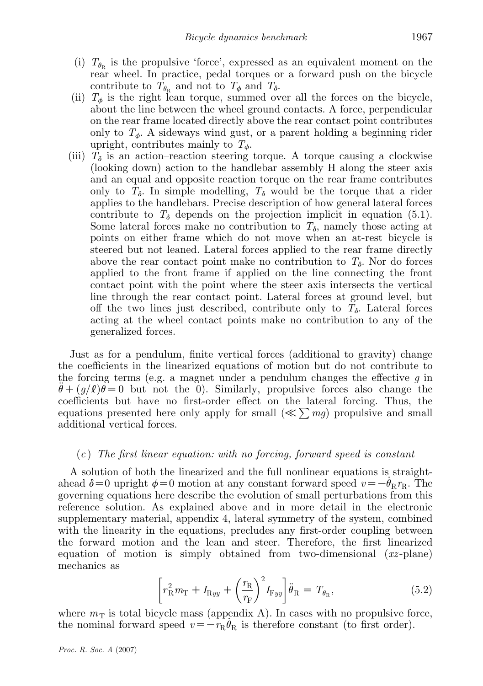- (i)  $T_{\theta_p}$  is the propulsive 'force', expressed as an equivalent moment on the rear wheel. In practice, pedal torques or a forward push on the bicycle contribute to  $T_{\theta_R}$  and not to  $T_{\phi}$  and  $T_{\delta}$ .
- (ii)  $T_{\phi}$  is the right lean torque, summed over all the forces on the bicycle, about the line between the wheel ground contacts. A force, perpendicular on the rear frame located directly above the rear contact point contributes only to  $T_{\phi}$ . A sideways wind gust, or a parent holding a beginning rider upright, contributes mainly to  $T_{\phi}$ .
- (iii)  $T_{\delta}$  is an action–reaction steering torque. A torque causing a clockwise (looking down) action to the handlebar assembly H along the steer axis and an equal and opposite reaction torque on the rear frame contributes only to  $T_{\delta}$ . In simple modelling,  $T_{\delta}$  would be the torque that a rider applies to the handlebars. Precise description of how general lateral forces contribute to  $T_{\delta}$  depends on the projection implicit in equation (5.1). Some lateral forces make no contribution to  $T_{\delta}$ , namely those acting at points on either frame which do not move when an at-rest bicycle is steered but not leaned. Lateral forces applied to the rear frame directly above the rear contact point make no contribution to  $T_{\delta}$ . Nor do forces applied to the front frame if applied on the line connecting the front contact point with the point where the steer axis intersects the vertical line through the rear contact point. Lateral forces at ground level, but off the two lines just described, contribute only to  $T_{\delta}$ . Lateral forces acting at the wheel contact points make no contribution to any of the generalized forces.

Just as for a pendulum, finite vertical forces (additional to gravity) change the coefficients in the linearized equations of motion but do not contribute to the forcing terms (e.g. a magnet under a pendulum changes the effective g in  $\ddot{\theta} + (g/\ell)\theta = 0$  but not the 0). Similarly, propulsive forces also change the coefficients but have no first-order effect on the lateral forcing. Thus, the equations presented here only apply for small  $(\ll \sum mg)$  propulsive and small additional vertical forces.

## $(c)$  The first linear equation: with no forcing, forward speed is constant

A solution of both the linearized and the full nonlinear equations is straightahead  $\delta=0$  upright  $\phi=0$  motion at any constant forward speed  $v=-\dot{\theta}_Rr_R$ . The governing equations here describe the evolution of small perturbations from this reference solution. As explained above and in more detail in the electronic supplementary material, appendix 4, lateral symmetry of the system, combined with the linearity in the equations, precludes any first-order coupling between the forward motion and the lean and steer. Therefore, the first linearized equation of motion is simply obtained from two-dimensional  $(xz$ -plane) mechanics as

$$
\left[r_{\rm R}^{2}m_{\rm T} + I_{\rm Ryy} + \left(\frac{r_{\rm R}}{r_{\rm F}}\right)^{2} I_{\rm Fyy}\right]\ddot{\theta}_{\rm R} = T_{\theta_{\rm R}},\tag{5.2}
$$

where  $m<sub>T</sub>$  is total bicycle mass (appendix A). In cases with no propulsive force, the nominal forward speed  $v = -r_R \dot{\theta}_R$  is therefore constant (to first order).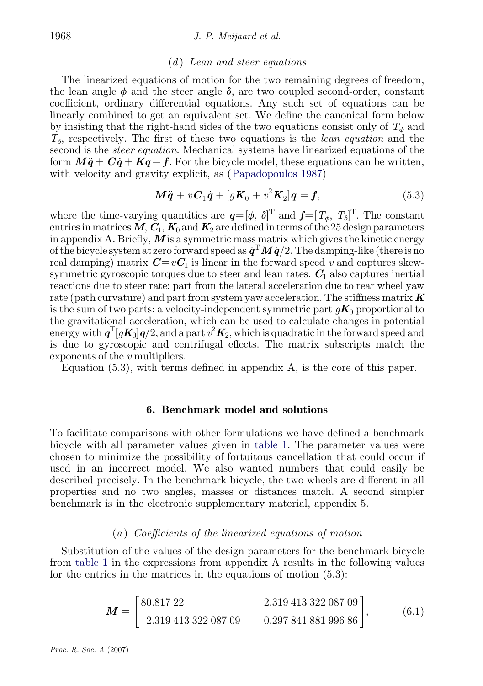#### 1968 J. P. Meijaard et al.

#### $(d)$  Lean and steer equations

The linearized equations of motion for the two remaining degrees of freedom, the lean angle  $\phi$  and the steer angle  $\delta$ , are two coupled second-order, constant coefficient, ordinary differential equations. Any such set of equations can be linearly combined to get an equivalent set. We define the canonical form below by insisting that the right-hand sides of the two equations consist only of  $T_{\phi}$  and  $T_{\delta}$ , respectively. The first of these two equations is the *lean equation* and the second is the *steer equation*. Mechanical systems have linearized equations of the form  $M\ddot{q} + C\dot{q} + Kq = f$ . For the bicycle model, these equations can be written, with velocity and gravity explicit, as ([Papadopoulos 1987](#page-26-0))

$$
\boldsymbol{M}\ddot{\boldsymbol{q}} + v\boldsymbol{C}_1\dot{\boldsymbol{q}} + [g\boldsymbol{K}_0 + v^2\boldsymbol{K}_2]\boldsymbol{q} = \boldsymbol{f},\tag{5.3}
$$

where the time-varying quantities are  $q=[\phi, \delta]^T$  and  $f=[T_\phi, T_\delta]^T$ . The constant entries in matrices  $\tilde{M}$ ,  $\tilde{C}_1$ ,  $K_0$  and  $K_2$  are defined in terms of the 25 design parameters in appendix A. Briefly,  $\vec{M}$  is a symmetric mass matrix which gives the kinetic energy of the bicycle system at zero forward speed as  $\dot{q}^{\mathrm{T}}M\dot{q}/2$ . The damping-like (there is no real damping) matrix  $C=vC_1$  is linear in the forward speed v and captures skewsymmetric gyroscopic torques due to steer and lean rates.  $C_1$  also captures inertial reactions due to steer rate: part from the lateral acceleration due to rear wheel yaw rate (path curvature) and part from system yaw acceleration. The stiffness matrix  $\boldsymbol{K}$ is the sum of two parts: a velocity-independent symmetric part  $gK_0$  proportional to the gravitational acceleration, which can be used to calculate changes in potential energy with  $\bm{q}^\text{T}[g\bm{K}_0]\bm{q}/2,$  and a part  $v^2\bm{K}_2$ , which is quadratic in the forward speed and is due to gyroscopic and centrifugal effects. The matrix subscripts match the exponents of the v multipliers.

Equation (5.3), with terms defined in appendix A, is the core of this paper.

## 6. Benchmark model and solutions

To facilitate comparisons with other formulations we have defined a benchmark bicycle with all parameter values given in [table 1](#page-5-0). The parameter values were chosen to minimize the possibility of fortuitous cancellation that could occur if used in an incorrect model. We also wanted numbers that could easily be described precisely. In the benchmark bicycle, the two wheels are different in all properties and no two angles, masses or distances match. A second simpler benchmark is in the electronic supplementary material, appendix 5.

## $(a)$  Coefficients of the linearized equations of motion

Substitution of the values of the design parameters for the benchmark bicycle from [table 1](#page-5-0) in the expressions from appendix A results in the following values for the entries in the matrices in the equations of motion (5.3):

$$
\boldsymbol{M} = \begin{bmatrix} 80.817 \ 22 & 2.319 \ 413 \ 322 \ 087 \ 09 & 0.297 \ 841 \ 881 \ 996 \ 86 \end{bmatrix}, \qquad (6.1)
$$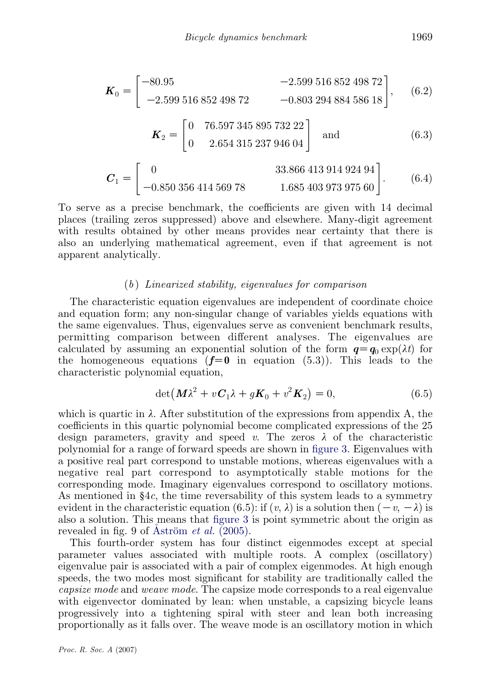$$
\boldsymbol{K}_0 = \begin{bmatrix} -80.95 & -2.599\ 516\ 852\ 498\ 72 & -0.803\ 294\ 884\ 586\ 18 \end{bmatrix}, \quad (6.2)
$$
\n
$$
\boldsymbol{K}_2 = \begin{bmatrix} 0 & 76.597\ 345\ 895\ 732\ 22 \\ 0 & 2.654\ 315\ 237\ 946\ 04 \end{bmatrix} \quad \text{and} \quad (6.3)
$$

$$
\boldsymbol{C}_{1} = \begin{bmatrix} 0 & 33.866\ 413\ 914\ 924\ 94 \\ -0.850\ 356\ 414\ 569\ 78 & 1.685\ 403\ 973\ 975\ 60 \end{bmatrix}.
$$
 (6.4)

To serve as a precise benchmark, the coefficients are given with 14 decimal places (trailing zeros suppressed) above and elsewhere. Many-digit agreement with results obtained by other means provides near certainty that there is also an underlying mathematical agreement, even if that agreement is not apparent analytically.

## $(b)$  Linearized stability, eigenvalues for comparison

The characteristic equation eigenvalues are independent of coordinate choice and equation form; any non-singular change of variables yields equations with the same eigenvalues. Thus, eigenvalues serve as convenient benchmark results, permitting comparison between different analyses. The eigenvalues are calculated by assuming an exponential solution of the form  $q=q_0 \exp(\lambda t)$  for the homogeneous equations  $(f=0$  in equation (5.3)). This leads to the characteristic polynomial equation,

$$
\det(\boldsymbol{M}\lambda^2 + v\boldsymbol{C}_1\lambda + g\boldsymbol{K}_0 + v^2\boldsymbol{K}_2) = 0, \qquad (6.5)
$$

which is quartic in  $\lambda$ . After substitution of the expressions from appendix A, the coefficients in this quartic polynomial become complicated expressions of the 25 design parameters, gravity and speed v. The zeros  $\lambda$  of the characteristic polynomial for a range of forward speeds are shown in [figure 3](#page-15-0). Eigenvalues with a positive real part correspond to unstable motions, whereas eigenvalues with a negative real part correspond to asymptotically stable motions for the corresponding mode. Imaginary eigenvalues correspond to oscillatory motions. As mentioned in  $\S4c$ , the time reversability of this system leads to a symmetry evident in the characteristic equation (6.5): if  $(v, \lambda)$  is a solution then  $(-v, -\lambda)$  is also a solution. This means that [figure 3](#page-15-0) is point symmetric about the origin as revealed in fig. 9 of Aström *et al.*  $(2005)$ .

This fourth-order system has four distinct eigenmodes except at special parameter values associated with multiple roots. A complex (oscillatory) eigenvalue pair is associated with a pair of complex eigenmodes. At high enough speeds, the two modes most significant for stability are traditionally called the capsize mode and weave mode. The capsize mode corresponds to a real eigenvalue with eigenvector dominated by lean: when unstable, a capsizing bicycle leans progressively into a tightening spiral with steer and lean both increasing proportionally as it falls over. The weave mode is an oscillatory motion in which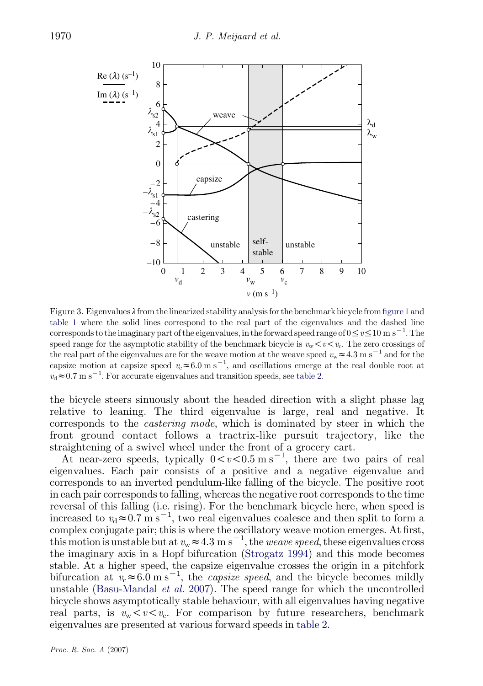<span id="page-15-0"></span>

Figure 3. Eigenvalues  $\lambda$  from the linearized stability analysis for the benchmark bicycle from [figure 1](#page-4-0) and [table 1](#page-5-0) where the solid lines correspond to the real part of the eigenvalues and the dashed line corresponds to the imaginary part of the eigenvalues, in the forward speed range of  $0 \le v \le 10$  m s<sup>-1</sup>. The speed range for the asymptotic stability of the benchmark bicycle is  $v_w < v < v_c$ . The zero crossings of the real part of the eigenvalues are for the weave motion at the weave speed  $v_w \approx 4.3 \text{ m s}^{-1}$  and for the capsize motion at capsize speed  $v_c \approx 6.0 \text{ m s}^{-1}$ , and oscillations emerge at the real double root at  $v<sub>d</sub> \approx 0.7$  m s<sup>-1</sup>. For accurate eigenvalues and transition speeds, see [table 2](#page-16-0).

the bicycle steers sinuously about the headed direction with a slight phase lag relative to leaning. The third eigenvalue is large, real and negative. It corresponds to the castering mode, which is dominated by steer in which the front ground contact follows a tractrix-like pursuit trajectory, like the straightening of a swivel wheel under the front of a grocery cart.

At near-zero speeds, typically  $0 < v < 0.5$  m s<sup>-1</sup>, there are two pairs of real eigenvalues. Each pair consists of a positive and a negative eigenvalue and corresponds to an inverted pendulum-like falling of the bicycle. The positive root in each pair corresponds to falling, whereas the negative root corresponds to the time reversal of this falling (i.e. rising). For the benchmark bicycle here, when speed is increased to  $v_d \approx 0.7 \text{ m s}^{-1}$ , two real eigenvalues coalesce and then split to form a complex conjugate pair; this is where the oscillatory weave motion emerges. At first, this motion is unstable but at  $v_w \approx 4.3 \text{ m s}^{-1}$ , the *weave speed*, these eigenvalues cross the imaginary axis in a Hopf bifurcation [\(Strogatz 1994\)](#page-27-0) and this mode becomes stable. At a higher speed, the capsize eigenvalue crosses the origin in a pitchfork bifurcation at  $v_c \approx 6.0 \text{ m s}^{-1}$ , the *capsize speed*, and the bicycle becomes mildly unstable [\(Basu-Mandal](#page-24-0) *et al.* 2007). The speed range for which the uncontrolled bicycle shows asymptotically stable behaviour, with all eigenvalues having negative real parts, is  $v_{w} \lt v \lt v_{c}$ . For comparison by future researchers, benchmark eigenvalues are presented at various forward speeds in [table 2](#page-16-0).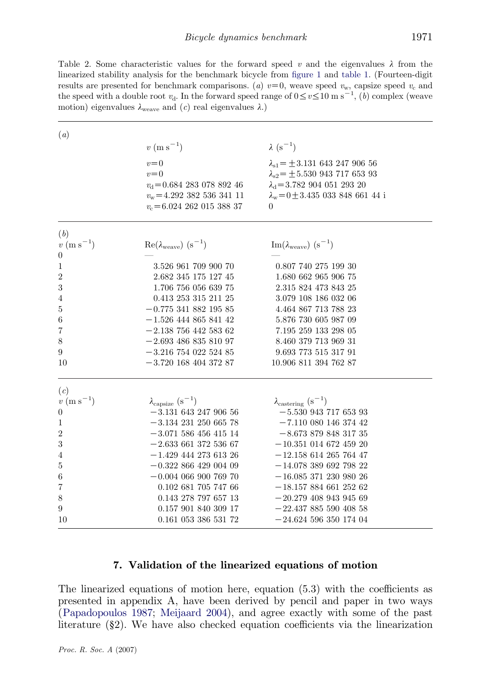<span id="page-16-0"></span>Table 2. Some characteristic values for the forward speed v and the eigenvalues  $\lambda$  from the linearized stability analysis for the benchmark bicycle from [figure 1](#page-4-0) and [table 1](#page-5-0). (Fourteen-digit results are presented for benchmark comparisons. (a)  $v=0$ , weave speed  $v_w$ , capsize speed  $v_c$  and the speed with a double root  $v_d$ . In the forward speed range of  $0 \le v \le 10$  m s<sup>-1</sup>, (b) complex (weave motion) eigenvalues  $\lambda_{\text{weave}}$  and (c) real eigenvalues  $\lambda$ .)

| $\left( a\right)$                  |                                                                                              |                                                                                                                                                                                |
|------------------------------------|----------------------------------------------------------------------------------------------|--------------------------------------------------------------------------------------------------------------------------------------------------------------------------------|
|                                    | $v (m s^{-1})$                                                                               | $\lambda$ (s <sup>-1</sup> )                                                                                                                                                   |
|                                    | $v=0$<br>$v=0$<br>$v_{\rm d} = 0.684\,283\,078\,892\,46$<br>$v_w = 4.292\,382\,536\,341\,11$ | $\lambda_{s1} = \pm 3.131\ 643\ 247\ 906\ 56$<br>$\lambda_{s2} = \pm 5.53094371765393$<br>$\lambda_d = 3.782\ 904\ 051\ 293\ 20$<br>$\lambda_w = 0 \pm 3.435$ 033 848 661 44 i |
|                                    | $v_c = 6.02426201538837$                                                                     | 0                                                                                                                                                                              |
| (b)                                |                                                                                              |                                                                                                                                                                                |
| $v (m s^{-1})$<br>$\boldsymbol{0}$ | $\text{Re}(\lambda_{\text{weave}})$ (s <sup>-1</sup> )                                       | $\text{Im}(\lambda_{\text{weave}})$ (s <sup>-1</sup> )                                                                                                                         |
| 1                                  | 3.526 961 709 900 70                                                                         | 0.807 740 275 199 30                                                                                                                                                           |
| $\sqrt{2}$                         | 2.682 345 175 127 45                                                                         | 1.680 662 965 906 75                                                                                                                                                           |
| $\sqrt{3}$                         | 1.706 756 056 639 75                                                                         | 2.315 824 473 843 25                                                                                                                                                           |
| 4                                  | 0.413 253 315 211 25                                                                         | 3.079 108 186 032 06                                                                                                                                                           |
| 5                                  | $-0.775$ 341 882 195 85                                                                      | 4.464 867 713 788 23                                                                                                                                                           |
| 6                                  | $-1.526$ 444 865 841 42                                                                      | 5.876 730 605 987 09                                                                                                                                                           |
| 7                                  | $-2.138$ 756 442 583 62                                                                      | 7.195 259 133 298 05                                                                                                                                                           |
| 8                                  | $-2.693$ 486 835 810 97                                                                      | 8.460 379 713 969 31                                                                                                                                                           |
| 9                                  | $-3.216$ 754 022 524 85                                                                      | 9.693 773 515 317 91                                                                                                                                                           |
| 10                                 | $-3.720$ 168 404 372 87                                                                      | 10.906 811 394 762 87                                                                                                                                                          |
| (c)                                |                                                                                              |                                                                                                                                                                                |
| $v \, (\text{m s}^{-1})$           | $\lambda_{\text{capsize}}\ (\text{s}^{-1})$                                                  | $\lambda_{\text{castering}}\ (\text{s}^{-1})$                                                                                                                                  |
| $\overline{0}$                     | $-3.131$ 643 247 906 56                                                                      | $-5.530\;943\;717\;653\;93$                                                                                                                                                    |
| 1                                  | $-3.134$ 231 250 665 78                                                                      | $-7.110\ 080\ 146\ 374\ 42$                                                                                                                                                    |
| $\boldsymbol{2}$                   | $-3.071$ 586 456 415 14                                                                      | $-8.67387984831735$                                                                                                                                                            |
| 3                                  | $-2.63366137253667$                                                                          | $-10.351$ 014 672 459 20                                                                                                                                                       |
| 4                                  | $-1.429$ 444 273 613 26                                                                      | $-12.15861426576447$                                                                                                                                                           |
| 5                                  | $-0.322$ 866 429 004 09                                                                      | $-14.07838969279822$                                                                                                                                                           |
| 6                                  | $-0.004$ 066 900 769 70                                                                      | $-16.08537123098026$                                                                                                                                                           |
| 7                                  | 0.102 681 705 747 66                                                                         | $-18.15788466125262$                                                                                                                                                           |
| 8                                  | 0.143 278 797 657 13                                                                         | $-20.279$ 408 943 945 69                                                                                                                                                       |
| 9                                  | 0.157 901 840 309 17                                                                         | $-22.43788559040858$                                                                                                                                                           |
| 10                                 | 0.161 053 386 531 72                                                                         | $-24.624$ 596 350 174 04                                                                                                                                                       |

## 7. Validation of the linearized equations of motion

The linearized equations of motion here, equation (5.3) with the coefficients as presented in appendix A, have been derived by pencil and paper in two ways ([Papadopoulos 1987;](#page-26-0) [Meijaard 2004\)](#page-26-0), and agree exactly with some of the past literature (§2). We have also checked equation coefficients via the linearization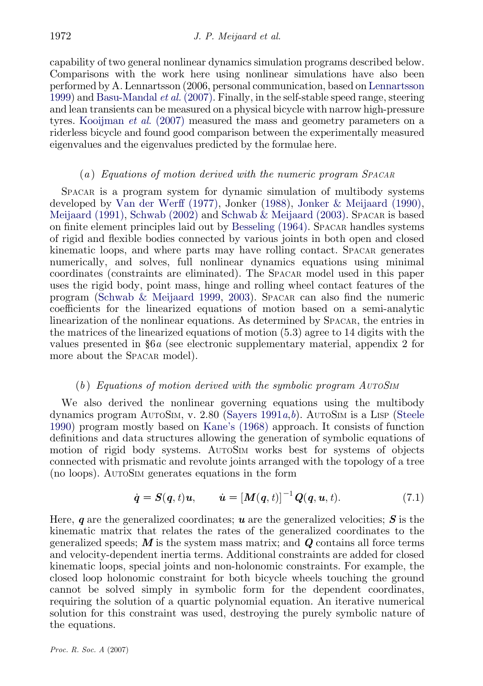capability of two general nonlinear dynamics simulation programs described below. Comparisons with the work here using nonlinear simulations have also been performed by A. Lennartsson (2006, personal communication, based on [Lennartsson](#page-26-0) [1999](#page-26-0)) and [Basu-Mandal](#page-24-0) *et al.* (2007). Finally, in the self-stable speed range, steering and lean transients can be measured on a physical bicycle with narrow high-pressure tyres. [Kooijman](#page-26-0) et al. (2007) measured the mass and geometry parameters on a riderless bicycle and found good comparison between the experimentally measured eigenvalues and the eigenvalues predicted by the formulae here.

## $(a)$  Equations of motion derived with the numeric program SPACAR

SPACAR is a program system for dynamic simulation of multibody systems developed by [Van der Werff \(1977\),](#page-27-0) Jonker ([1988\)](#page-25-0), [Jonker & Meijaard \(1990\)](#page-25-0), [Meijaard \(1991\),](#page-26-0) [Schwab \(2002\)](#page-27-0) and [Schwab & Meijaard \(2003\)](#page-27-0). SPACAR is based on finite element principles laid out by [Besseling \(1964\)](#page-24-0). SPACAR handles systems of rigid and flexible bodies connected by various joints in both open and closed kinematic loops, and where parts may have rolling contact. SPACAR generates numerically, and solves, full nonlinear dynamics equations using minimal coordinates (constraints are eliminated). The SPACAR model used in this paper uses the rigid body, point mass, hinge and rolling wheel contact features of the program [\(Schwab & Meijaard 1999](#page-27-0), [2003](#page-27-0)). SPACAR can also find the numeric coefficients for the linearized equations of motion based on a semi-analytic linearization of the nonlinear equations. As determined by SPACAR, the entries in the matrices of the linearized equations of motion (5.3) agree to 14 digits with the values presented in §6a (see electronic supplementary material, appendix 2 for more about the SPACAR model).

## $(b)$  Equations of motion derived with the symbolic program  $A$ UTOSIM

We also derived the nonlinear governing equations using the multibody dynamics program AUTOSIM, v. 2.80 (Sayers  $1991a, b$  $1991a, b$ ). AUTOSIM is a LISP [\(Steele](#page-27-0) [1990\)](#page-27-0) program mostly based on [Kane's \(1968\)](#page-25-0) approach. It consists of function definitions and data structures allowing the generation of symbolic equations of motion of rigid body systems. AUTOSIM works best for systems of objects connected with prismatic and revolute joints arranged with the topology of a tree (no loops). AUTOSIM generates equations in the form

$$
\dot{q} = S(q, t)u, \qquad \dot{u} = [M(q, t)]^{-1} Q(q, u, t). \tag{7.1}
$$

Here, q are the generalized coordinates;  $u$  are the generalized velocities;  $S$  is the kinematic matrix that relates the rates of the generalized coordinates to the generalized speeds;  $\vec{M}$  is the system mass matrix; and  $\vec{Q}$  contains all force terms and velocity-dependent inertia terms. Additional constraints are added for closed kinematic loops, special joints and non-holonomic constraints. For example, the closed loop holonomic constraint for both bicycle wheels touching the ground cannot be solved simply in symbolic form for the dependent coordinates, requiring the solution of a quartic polynomial equation. An iterative numerical solution for this constraint was used, destroying the purely symbolic nature of the equations.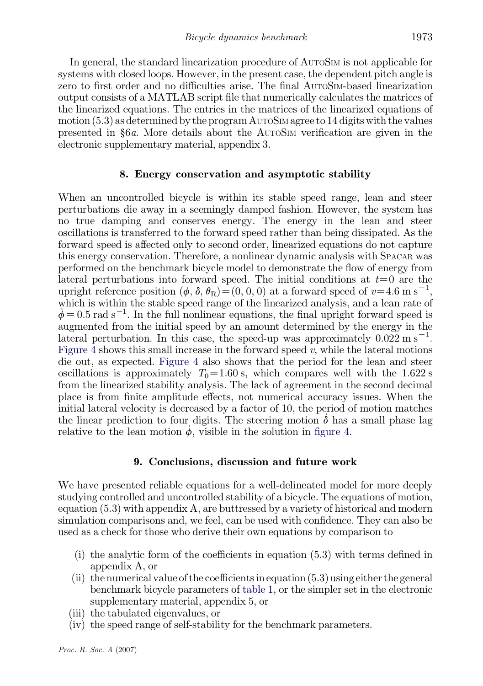In general, the standard linearization procedure of AUTOSIM is not applicable for systems with closed loops. However, in the present case, the dependent pitch angle is zero to first order and no difficulties arise. The final AUTOSIM-based linearization output consists of a MATLAB script file that numerically calculates the matrices of the linearized equations. The entries in the matrices of the linearized equations of motion (5.3) as determined by the program AUTOSIM agree to 14 digits with the values presented in §6a. More details about the AUTOSIM verification are given in the electronic supplementary material, appendix 3.

## 8. Energy conservation and asymptotic stability

When an uncontrolled bicycle is within its stable speed range, lean and steer perturbations die away in a seemingly damped fashion. However, the system has no true damping and conserves energy. The energy in the lean and steer oscillations is transferred to the forward speed rather than being dissipated. As the forward speed is affected only to second order, linearized equations do not capture this energy conservation. Therefore, a nonlinear dynamic analysis with SPACAR was performed on the benchmark bicycle model to demonstrate the flow of energy from lateral perturbations into forward speed. The initial conditions at  $t=0$  are the upright reference position  $(\phi, \delta, \theta_R) = (0, 0, 0)$  at a forward speed of  $v=4.6 \text{ m s}^{-1}$ , which is within the stable speed range of the linearized analysis, and a lean rate of  $\dot{\phi} = 0.5$  rad s<sup>-1</sup>. In the full nonlinear equations, the final upright forward speed is augmented from the initial speed by an amount determined by the energy in the lateral perturbation. In this case, the speed-up was approximately  $0.022 \text{ m s}^{-1}$ . [Figure 4](#page-19-0) shows this small increase in the forward speed  $v$ , while the lateral motions die out, as expected. [Figure 4](#page-19-0) also shows that the period for the lean and steer oscillations is approximately  $T_0=1.60$  s, which compares well with the 1.622 s from the linearized stability analysis. The lack of agreement in the second decimal place is from finite amplitude effects, not numerical accuracy issues. When the initial lateral velocity is decreased by a factor of 10, the period of motion matches the linear prediction to four digits. The steering motion  $\dot{\delta}$  has a small phase lag relative to the lean motion  $\phi$ , visible in the solution in [figure 4.](#page-19-0)

## 9. Conclusions, discussion and future work

We have presented reliable equations for a well-delineated model for more deeply studying controlled and uncontrolled stability of a bicycle. The equations of motion, equation (5.3) with appendix A, are buttressed by a variety of historical and modern simulation comparisons and, we feel, can be used with confidence. They can also be used as a check for those who derive their own equations by comparison to

- (i) the analytic form of the coefficients in equation (5.3) with terms defined in appendix A, or
- (ii) the numerical value of the coefficients in equation (5.3) using either the general benchmark bicycle parameters of [table 1,](#page-5-0) or the simpler set in the electronic supplementary material, appendix 5, or
- (iii) the tabulated eigenvalues, or
- (iv) the speed range of self-stability for the benchmark parameters.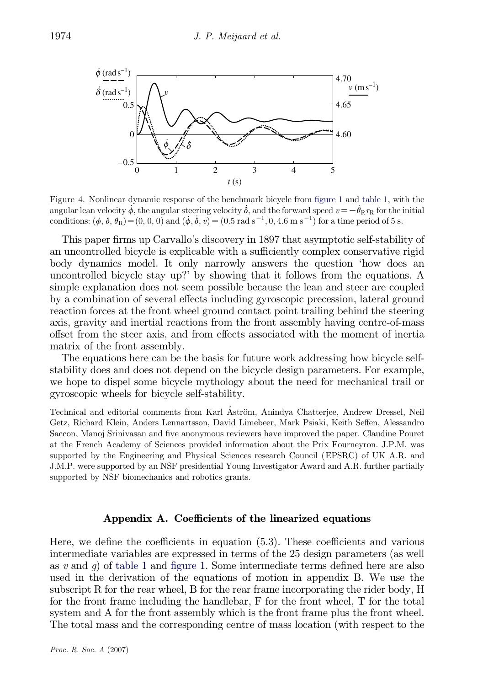<span id="page-19-0"></span>

Figure 4. Nonlinear dynamic response of the benchmark bicycle from [figure 1](#page-4-0) and [table 1](#page-5-0), with the angular lean velocity  $\dot{\phi}$ , the angular steering velocity  $\dot{\delta}$ , and the forward speed  $v = -\dot{\theta}_R r_R$  for the initial conditions:  $(\phi, \delta, \theta_R) = (0, 0, 0)$  and  $(\dot{\phi}, \dot{\delta}, v) = (0.5 \text{ rad s}^{-1}, 0, 4.6 \text{ m s}^{-1})$  for a time period of 5 s.

This paper firms up Carvallo's discovery in 1897 that asymptotic self-stability of an uncontrolled bicycle is explicable with a sufficiently complex conservative rigid body dynamics model. It only narrowly answers the question 'how does an uncontrolled bicycle stay up?' by showing that it follows from the equations. A simple explanation does not seem possible because the lean and steer are coupled by a combination of several effects including gyroscopic precession, lateral ground reaction forces at the front wheel ground contact point trailing behind the steering axis, gravity and inertial reactions from the front assembly having centre-of-mass offset from the steer axis, and from effects associated with the moment of inertia matrix of the front assembly.

The equations here can be the basis for future work addressing how bicycle selfstability does and does not depend on the bicycle design parameters. For example, we hope to dispel some bicycle mythology about the need for mechanical trail or gyroscopic wheels for bicycle self-stability.

Technical and editorial comments from Karl Aström, Anindya Chatterjee, Andrew Dressel, Neil Getz, Richard Klein, Anders Lennartsson, David Limebeer, Mark Psiaki, Keith Seffen, Alessandro Saccon, Manoj Srinivasan and five anonymous reviewers have improved the paper. Claudine Pouret at the French Academy of Sciences provided information about the Prix Fourneyron. J.P.M. was supported by the Engineering and Physical Sciences research Council (EPSRC) of UK A.R. and J.M.P. were supported by an NSF presidential Young Investigator Award and A.R. further partially supported by NSF biomechanics and robotics grants.

## Appendix A. Coefficients of the linearized equations

Here, we define the coefficients in equation (5.3). These coefficients and various intermediate variables are expressed in terms of the 25 design parameters (as well as v and q) of [table 1](#page-5-0) and [figure 1.](#page-4-0) Some intermediate terms defined here are also used in the derivation of the equations of motion in appendix B. We use the subscript R for the rear wheel, B for the rear frame incorporating the rider body, H for the front frame including the handlebar, F for the front wheel, T for the total system and A for the front assembly which is the front frame plus the front wheel. The total mass and the corresponding centre of mass location (with respect to the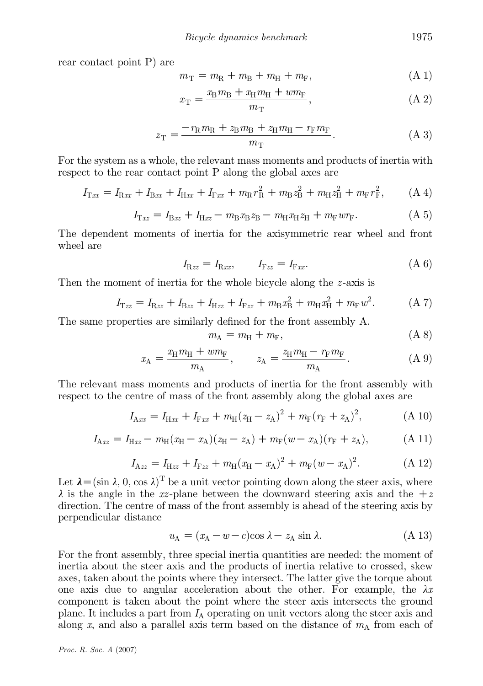rear contact point P) are

$$
m_{\rm T} = m_{\rm R} + m_{\rm B} + m_{\rm H} + m_{\rm F}, \tag{A1}
$$

$$
x_{\rm T} = \frac{x_{\rm B} m_{\rm B} + x_{\rm H} m_{\rm H} + w m_{\rm F}}{m_{\rm T}},\tag{A.2}
$$

$$
z_{\rm T} = \frac{-r_{\rm R}m_{\rm R} + z_{\rm B}m_{\rm B} + z_{\rm H}m_{\rm H} - r_{\rm F}m_{\rm F}}{m_{\rm T}}.\tag{A 3}
$$

For the system as a whole, the relevant mass moments and products of inertia with respect to the rear contact point P along the global axes are

$$
I_{\text{Txx}} = I_{\text{Rxx}} + I_{\text{Bxx}} + I_{\text{Hxx}} + I_{\text{Fxx}} + m_{\text{R}}r_{\text{R}}^2 + m_{\text{B}}z_{\text{B}}^2 + m_{\text{H}}z_{\text{H}}^2 + m_{\text{F}}r_{\text{F}}^2, \tag{A 4}
$$

$$
I_{\text{T}zz} = I_{\text{B}zz} + I_{\text{H}zz} - m_{\text{B}}x_{\text{B}}z_{\text{B}} - m_{\text{H}}x_{\text{H}}z_{\text{H}} + m_{\text{F}}wr_{\text{F}}.
$$
 (A 5)

The dependent moments of inertia for the axisymmetric rear wheel and front wheel are

$$
I_{\mathrm{R}zz} = I_{\mathrm{R}xx}, \qquad I_{\mathrm{F}zz} = I_{\mathrm{F}xx}.\tag{A 6}
$$

Then the moment of inertia for the whole bicycle along the  $z$ -axis is

$$
I_{\text{T}zz} = I_{\text{R}zz} + I_{\text{B}zz} + I_{\text{H}zz} + I_{\text{F}zz} + m_{\text{B}}x_{\text{B}}^2 + m_{\text{H}}x_{\text{H}}^2 + m_{\text{F}}w^2.
$$
 (A 7)

The same properties are similarly defined for the front assembly A.

$$
m_{\rm A} = m_{\rm H} + m_{\rm F},\tag{A 8}
$$

$$
x_{A} = \frac{x_{H} m_{H} + w m_{F}}{m_{A}}, \qquad z_{A} = \frac{z_{H} m_{H} - r_{F} m_{F}}{m_{A}}.
$$
 (A 9)

The relevant mass moments and products of inertia for the front assembly with respect to the centre of mass of the front assembly along the global axes are

$$
I_{Axx} = I_{Hxx} + I_{Fxx} + m_H(z_H - z_A)^2 + m_F(r_F + z_A)^2, \tag{A 10}
$$

$$
I_{\text{A}zz} = I_{\text{H}zz} - m_{\text{H}}(x_{\text{H}} - x_{\text{A}})(z_{\text{H}} - z_{\text{A}}) + m_{\text{F}}(w - x_{\text{A}})(r_{\text{F}} + z_{\text{A}}), \tag{A 11}
$$

$$
I_{\text{Azz}} = I_{\text{Hzz}} + I_{\text{Fzz}} + m_{\text{H}}(x_{\text{H}} - x_{\text{A}})^2 + m_{\text{F}}(w - x_{\text{A}})^2. \tag{A 12}
$$

Let  $\lambda = (\sin \lambda, 0, \cos \lambda)^T$  be a unit vector pointing down along the steer axis, where  $\lambda$  is the angle in the xz-plane between the downward steering axis and the  $+z$ direction. The centre of mass of the front assembly is ahead of the steering axis by perpendicular distance

$$
u_{A} = (x_{A} - w - c)\cos \lambda - z_{A}\sin \lambda. \tag{A 13}
$$

For the front assembly, three special inertia quantities are needed: the moment of inertia about the steer axis and the products of inertia relative to crossed, skew axes, taken about the points where they intersect. The latter give the torque about one axis due to angular acceleration about the other. For example, the  $\lambda x$ component is taken about the point where the steer axis intersects the ground plane. It includes a part from  $I_A$  operating on unit vectors along the steer axis and along x, and also a parallel axis term based on the distance of  $m_A$  from each of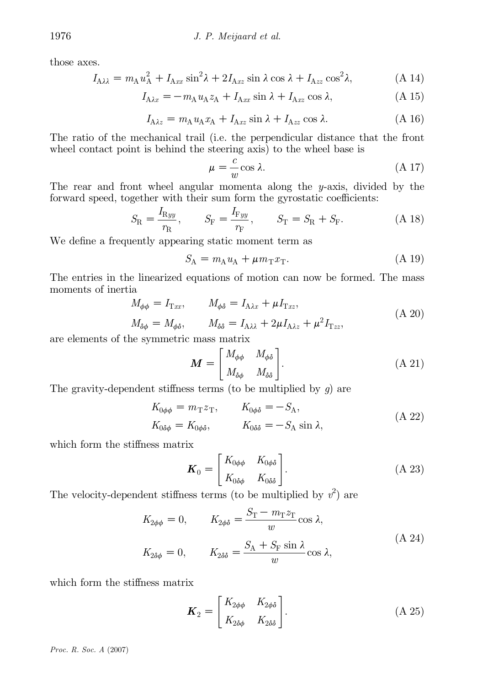those axes.

$$
I_{A\lambda\lambda} = m_A u_A^2 + I_{Axx} \sin^2 \lambda + 2I_{Axz} \sin \lambda \cos \lambda + I_{Azz} \cos^2 \lambda,
$$
 (A 14)

$$
I_{A\lambda x} = -m_A u_A z_A + I_{Axx} \sin \lambda + I_{Axx} \cos \lambda, \tag{A 15}
$$

$$
I_{A\lambda z} = m_A u_A x_A + I_{Axz} \sin \lambda + I_{Azz} \cos \lambda. \tag{A 16}
$$

The ratio of the mechanical trail (i.e. the perpendicular distance that the front wheel contact point is behind the steering axis) to the wheel base is

$$
\mu = \frac{c}{w} \cos \lambda. \tag{A.17}
$$

The rear and front wheel angular momenta along the  $y$ -axis, divided by the forward speed, together with their sum form the gyrostatic coefficients:

$$
S_{\rm R} = \frac{I_{\rm Ryy}}{r_{\rm R}}, \t S_{\rm F} = \frac{I_{\rm Fyy}}{r_{\rm F}}, \t S_{\rm T} = S_{\rm R} + S_{\rm F}.
$$
 (A 18)

We define a frequently appearing static moment term as

$$
S_{\mathcal{A}} = m_{\mathcal{A}} u_{\mathcal{A}} + \mu m_{\mathcal{T}} x_{\mathcal{T}}.\tag{A 19}
$$

The entries in the linearized equations of motion can now be formed. The mass moments of inertia

$$
M_{\phi\phi} = I_{\text{Txz}}, \qquad M_{\phi\delta} = I_{\text{A}\lambda x} + \mu I_{\text{Txz}},
$$
  

$$
M_{\delta\phi} = M_{\phi\delta}, \qquad M_{\delta\delta} = I_{\text{A}\lambda\lambda} + 2\mu I_{\text{A}\lambda z} + \mu^2 I_{\text{T}zz},
$$
 (A 20)

are elements of the symmetric mass matrix

$$
\boldsymbol{M} = \begin{bmatrix} M_{\phi\phi} & M_{\phi\delta} \\ M_{\delta\phi} & M_{\delta\delta} \end{bmatrix} . \tag{A 21}
$$

The gravity-dependent stiffness terms (to be multiplied by  $q$ ) are

$$
K_{0\phi\phi} = m_{\mathrm{T}} z_{\mathrm{T}}, \qquad K_{0\phi\delta} = -S_{\mathrm{A}},
$$
  
\n
$$
K_{0\delta\phi} = K_{0\phi\delta}, \qquad K_{0\delta\delta} = -S_{\mathrm{A}} \sin \lambda,
$$
  
\n(A 22)

which form the stiffness matrix

$$
\boldsymbol{K}_0 = \begin{bmatrix} K_{0\phi\phi} & K_{0\phi\delta} \\ K_{0\delta\phi} & K_{0\delta\delta} \end{bmatrix} . \tag{A 23}
$$

The velocity-dependent stiffness terms (to be multiplied by  $v^2$ ) are

$$
K_{2\phi\phi} = 0, \qquad K_{2\phi\delta} = \frac{S_{\rm T} - m_{\rm T}z_{\rm T}}{w} \cos \lambda,
$$
  

$$
K_{2\delta\phi} = 0, \qquad K_{2\delta\delta} = \frac{S_{\rm A} + S_{\rm F} \sin \lambda}{w} \cos \lambda,
$$
 (A 24)

which form the stiffness matrix

$$
\boldsymbol{K}_2 = \begin{bmatrix} K_{2\phi\phi} & K_{2\phi\delta} \\ K_{2\delta\phi} & K_{2\delta\delta} \end{bmatrix} . \tag{A 25}
$$

Proc. R. Soc. A (2007)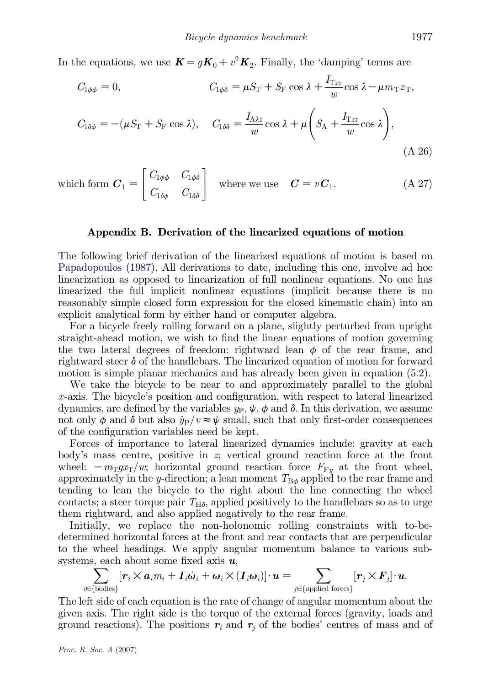In the equations, we use  $\mathbf{K} = g\mathbf{K}_0 + v^2\mathbf{K}_2$ . Finally, the 'damping' terms are

$$
C_{1\phi\phi} = 0, \t C_{1\phi\delta} = \mu S_{\text{T}} + S_{\text{F}} \cos \lambda + \frac{I_{\text{T}xz}}{w} \cos \lambda - \mu m_{\text{T}} z_{\text{T}},
$$
  

$$
C_{1\delta\phi} = -(\mu S_{\text{T}} + S_{\text{F}} \cos \lambda), \t C_{1\delta\delta} = \frac{I_{\text{A}\lambda z}}{w} \cos \lambda + \mu \left( S_{\text{A}} + \frac{I_{\text{T}zz}}{w} \cos \lambda \right), \t (A 26)
$$

which form  $C_1 = \begin{bmatrix} C_{1\phi\phi} & C_{1\phi\delta} \\ C_{1\delta\phi} & C_{1\delta\delta} \end{bmatrix}$  where we use  $C = vC_1$ . (A 27)

## Appendix B. Derivation of the linearized equations of motion

The following brief derivation of the linearized equations of motion is based on [Papadopoulos \(1987\)](#page-26-0). All derivations to date, including this one, involve ad hoc linearization as opposed to linearization of full nonlinear equations. No one has linearized the full implicit nonlinear equations (implicit because there is no reasonably simple closed form expression for the closed kinematic chain) into an explicit analytical form by either hand or computer algebra.

For a bicycle freely rolling forward on a plane, slightly perturbed from upright straight-ahead motion, we wish to find the linear equations of motion governing the two lateral degrees of freedom: rightward lean  $\phi$  of the rear frame, and rightward steer  $\delta$  of the handlebars. The linearized equation of motion for forward motion is simple planar mechanics and has already been given in equation (5.2).

We take the bicycle to be near to and approximately parallel to the global x-axis. The bicycle's position and configuration, with respect to lateral linearized dynamics, are defined by the variables  $y_P$ ,  $\psi$ ,  $\phi$  and  $\delta$ . In this derivation, we assume not only  $\phi$  and  $\delta$  but also  $\dot{y}_P/v \approx \psi$  small, such that only first-order consequences of the configuration variables need be kept.

Forces of importance to lateral linearized dynamics include: gravity at each body's mass centre, positive in  $z$ , vertical ground reaction force at the front wheel:  $-m_{\text{T}}gx_{\text{T}}/w$ ; horizontal ground reaction force  $F_{\text{F}_y}$  at the front wheel, approximately in the y-direction; a lean moment  $T_{\text{B}\phi}$  applied to the rear frame and tending to lean the bicycle to the right about the line connecting the wheel contacts; a steer torque pair  $T_{H\delta}$ , applied positively to the handlebars so as to urge them rightward, and also applied negatively to the rear frame.

Initially, we replace the non-holonomic rolling constraints with to-bedetermined horizontal forces at the front and rear contacts that are perpendicular to the wheel headings. We apply angular momentum balance to various subsystems, each about some fixed axis  $u$ ,

$$
\sum_{i \in \{\text{bodies}\}} [r_i \times a_i m_i + I_i \dot{\boldsymbol{\omega}}_i + \boldsymbol{\omega}_i \times (I_i \boldsymbol{\omega}_i)] \cdot \boldsymbol{u} = \sum_{j \in \{\text{applied forces}\}} [r_j \times F_j] \cdot \boldsymbol{u}.
$$

The left side of each equation is the rate of change of angular momentum about the given axis. The right side is the torque of the external forces (gravity, loads and ground reactions). The positions  $r_i$  and  $r_j$  of the bodies' centres of mass and of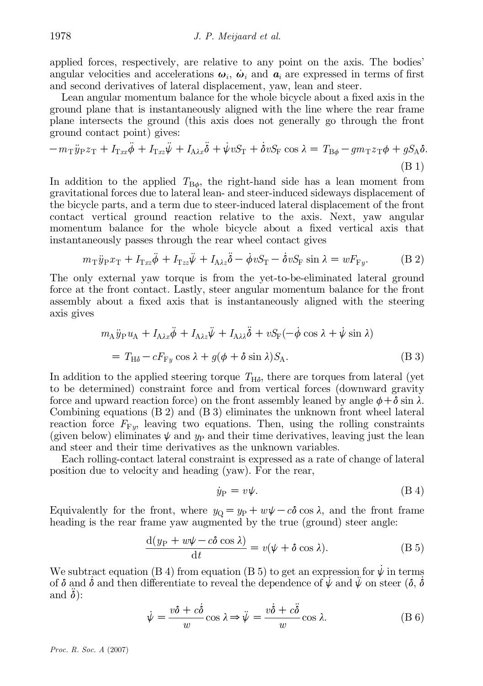applied forces, respectively, are relative to any point on the axis. The bodies' angular velocities and accelerations  $\omega_i$ ,  $\dot{\omega}_i$  and  $\alpha_i$  are expressed in terms of first and second derivatives of lateral displacement, yaw, lean and steer.

Lean angular momentum balance for the whole bicycle about a fixed axis in the ground plane that is instantaneously aligned with the line where the rear frame plane intersects the ground (this axis does not generally go through the front ground contact point) gives:

$$
-m_{\rm T}\ddot{y}_{\rm P}z_{\rm T} + I_{\rm Txz}\ddot{\phi} + I_{\rm Txz}\ddot{\psi} + I_{\rm A\lambda x}\ddot{\delta} + \dot{\psi}vS_{\rm T} + \dot{\delta}vS_{\rm F}\cos\lambda = T_{\rm B\phi} - gm_{\rm T}z_{\rm T}\phi + gS_{\rm A}\delta.
$$
\n(B 1)

In addition to the applied  $T_{\text{B}\phi}$ , the right-hand side has a lean moment from gravitational forces due to lateral lean- and steer-induced sideways displacement of the bicycle parts, and a term due to steer-induced lateral displacement of the front contact vertical ground reaction relative to the axis. Next, yaw angular momentum balance for the whole bicycle about a fixed vertical axis that instantaneously passes through the rear wheel contact gives

$$
m_{\rm T}\ddot{y}_{\rm P}x_{\rm T} + I_{\rm Tzz}\ddot{\phi} + I_{\rm Tzz}\ddot{\psi} + I_{\rm A\lambda z}\ddot{\delta} - \dot{\phi}vS_{\rm T} - \dot{\delta}vS_{\rm F}\sin\lambda = wF_{\rm Fy}.
$$
 (B 2)

The only external yaw torque is from the yet-to-be-eliminated lateral ground force at the front contact. Lastly, steer angular momentum balance for the front assembly about a fixed axis that is instantaneously aligned with the steering axis gives

$$
m_{A}\ddot{y}_{P}u_{A} + I_{A\lambda x}\ddot{\phi} + I_{A\lambda z}\ddot{\psi} + I_{A\lambda \lambda}\ddot{\delta} + vS_{F}(-\dot{\phi}\cos\lambda + \dot{\psi}\sin\lambda)
$$
  
=  $T_{H\delta} - cF_{Fy}\cos\lambda + g(\phi + \delta\sin\lambda)S_{A}$ . (B 3)

In addition to the applied steering torque  $T_{H_0}$ , there are torques from lateral (yet to be determined) constraint force and from vertical forces (downward gravity force and upward reaction force) on the front assembly leaned by angle  $\phi + \delta \sin \lambda$ . Combining equations (B 2) and (B 3) eliminates the unknown front wheel lateral reaction force  $F_{F_y}$ , leaving two equations. Then, using the rolling constraints (given below) eliminates  $\psi$  and  $y_P$  and their time derivatives, leaving just the lean and steer and their time derivatives as the unknown variables.

Each rolling-contact lateral constraint is expressed as a rate of change of lateral position due to velocity and heading (yaw). For the rear,

$$
\dot{y}_{\rm P} = v\psi. \tag{B 4}
$$

Equivalently for the front, where  $y_Q = y_P + w\psi - c\delta \cos \lambda$ , and the front frame heading is the rear frame yaw augmented by the true (ground) steer angle:

$$
\frac{d(y_P + w\psi - c\delta \cos \lambda)}{dt} = v(\psi + \delta \cos \lambda). \tag{B.5}
$$

We subtract equation (B 4) from equation (B 5) to get an expression for  $\psi$  in terms of  $\delta$  and  $\dot{\delta}$  and then differentiate to reveal the dependence of  $\dot{\psi}$  and  $\ddot{\psi}$  on steer ( $\delta$ ,  $\dot{\delta}$ and  $\delta$ :

$$
\dot{\psi} = \frac{v\delta + c\dot{\delta}}{w}\cos\lambda \Rightarrow \ddot{\psi} = \frac{v\dot{\delta} + c\ddot{\delta}}{w}\cos\lambda.
$$
 (B 6)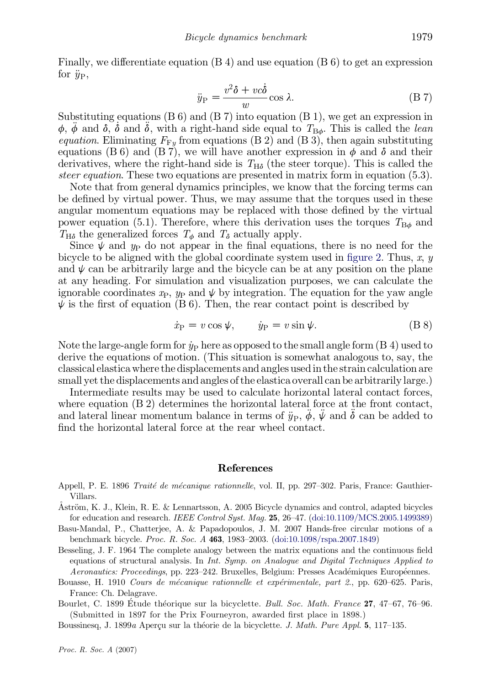<span id="page-24-0"></span>Finally, we differentiate equation (B 4) and use equation (B 6) to get an expression for  $\ddot{y}_P$ ,

$$
\ddot{y}_{\rm P} = \frac{v^2 \delta + v c \dot{\delta}}{w} \cos \lambda.
$$
 (B 7)

Substituting equations  $(B 6)$  and  $(B 7)$  into equation  $(B 1)$ , we get an expression in  $\phi$ ,  $\ddot{\phi}$  and  $\ddot{\delta}$ ,  $\ddot{\delta}$  and  $\ddot{\delta}$ , with a right-hand side equal to  $T_{\text{B}\dot{\phi}}$ . This is called the *lean* equation. Eliminating  $F_{F_y}$  from equations (B 2) and (B 3), then again substituting equations (B 6) and (B 7), we will have another expression in  $\phi$  and  $\delta$  and their derivatives, where the right-hand side is  $T_{H\delta}$  (the steer torque). This is called the steer equation. These two equations are presented in matrix form in equation (5.3).

Note that from general dynamics principles, we know that the forcing terms can be defined by virtual power. Thus, we may assume that the torques used in these angular momentum equations may be replaced with those defined by the virtual power equation (5.1). Therefore, where this derivation uses the torques  $T_{\text{B}\phi}$  and  $T_{\text{H}\delta}$  the generalized forces  $T_{\phi}$  and  $T_{\delta}$  actually apply.

Since  $\psi$  and  $y_P$  do not appear in the final equations, there is no need for the bicycle to be aligned with the global coordinate system used in [figure 2](#page-8-0). Thus,  $x, y$ and  $\psi$  can be arbitrarily large and the bicycle can be at any position on the plane at any heading. For simulation and visualization purposes, we can calculate the ignorable coordinates  $x_P$ ,  $y_P$  and  $\psi$  by integration. The equation for the yaw angle  $\psi$  is the first of equation (B 6). Then, the rear contact point is described by

$$
\dot{x}_{\rm P} = v \cos \psi, \qquad \dot{y}_{\rm P} = v \sin \psi. \tag{B 8}
$$

Note the large-angle form for  $y_P$  here as opposed to the small angle form (B 4) used to derive the equations of motion. (This situation is somewhat analogous to, say, the classical elastica where the displacements and angles usedin the strain calculation are small yet the displacements and angles of the elastica overall can be arbitrarily large.)

Intermediate results may be used to calculate horizontal lateral contact forces, where equation  $(B 2)$  determines the horizontal lateral force at the front contact, and lateral linear momentum balance in terms of  $\ddot{y}_P$ ,  $\phi$ ,  $\psi$  and  $\delta$  can be added to find the horizontal lateral force at the rear wheel contact.

#### References

- Appell, P. E. 1896 Traité de mécanique rationnelle, vol. II, pp. 297–302. Paris, France: Gauthier-Villars.
- Aström, K. J., Klein, R. E. & Lennartsson, A. 2005 Bicycle dynamics and control, adapted bicycles for education and research. IEEE Control Syst. Mag. 25, 26–47. ([doi:10.1109/MCS.2005.1499389](http://dx.doi.org/doi:10.1109/MCS.2005.1499389))
- Basu-Mandal, P., Chatterjee, A. & Papadopoulos, J. M. 2007 Hands-free circular motions of a benchmark bicycle. Proc. R. Soc. A 463, 1983–2003. ([doi:10.1098/rspa.2007.1849](http://dx.doi.org/doi:10.1098/rspa.2007.1849))
- Besseling, J. F. 1964 The complete analogy between the matrix equations and the continuous field equations of structural analysis. In Int. Symp. on Analogue and Digital Techniques Applied to Aeronautics: Proceedings, pp. 223-242. Bruxelles, Belgium: Presses Académiques Européennes.
- Bouasse, H. 1910 Cours de mécanique rationnelle et expérimentale, part 2., pp. 620–625. Paris, France: Ch. Delagrave.
- Bourlet, C. 1899 Étude théorique sur la bicyclette. Bull. Soc. Math. France 27, 47–67, 76–96. (Submitted in 1897 for the Prix Fourneyron, awarded first place in 1898.)
- Boussinesq, J. 1899a Apercu sur la théorie de la bicyclette. *J. Math. Pure Appl.* 5, 117–135.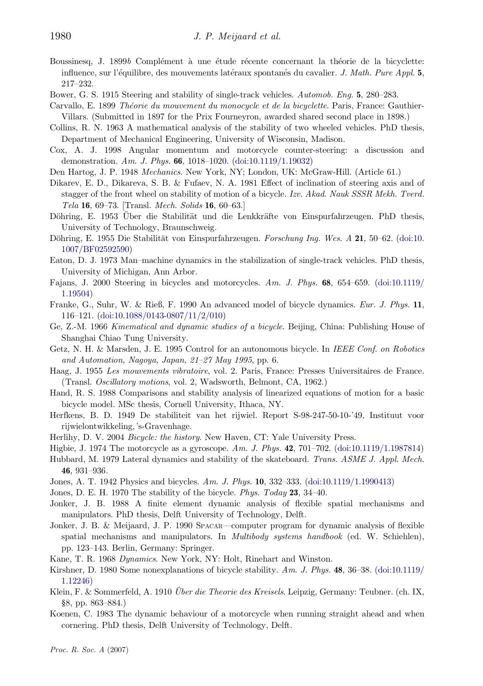- <span id="page-25-0"></span>Boussinesq, J. 1899b Complément à une étude récente concernant la théorie de la bicyclette: influence, sur l'équilibre, des mouvements latéraux spontanés du cavalier. J. Math. Pure Appl. 5, 217–232.
- Bower, G. S. 1915 Steering and stability of single-track vehicles. Automob. Eng. 5, 280–283.
- Carvallo, E. 1899 Théorie du mouvement du monocycle et de la bicyclette. Paris, France: Gauthier-Villars. (Submitted in 1897 for the Prix Fourneyron, awarded shared second place in 1898.)
- Collins, R. N. 1963 A mathematical analysis of the stability of two wheeled vehicles. PhD thesis, Department of Mechanical Engineering, University of Wisconsin, Madison.
- Cox, A. J. 1998 Angular momentum and motorcycle counter-steering: a discussion and demonstration. Am. J. Phys. 66, 1018–1020. [\(doi:10.1119/1.19032](http://dx.doi.org/doi:10.1119/1.19032))
- Den Hartog, J. P. 1948 Mechanics. New York, NY; London, UK: McGraw-Hill. (Article 61.)
- Dikarev, E. D., Dikareva, S. B. & Fufaev, N. A. 1981 Effect of inclination of steering axis and of stagger of the front wheel on stability of motion of a bicycle. Izv. Akad. Nauk SSSR Mekh. Tverd. Tela 16, 69–73. [Transl. Mech. Solids 16, 60–63.]
- Döhring, E. 1953 Über die Stabilität und die Lenkkräfte von Einspurfahrzeugen. PhD thesis, University of Technology, Braunschweig.
- Döhring, E. 1955 Die Stabilität von Einspurfahrzeugen. Forschung Ing. Wes. A 21, 50–62. [\(doi:10.](http://dx.doi.org/doi:10.1007/BF02592590) [1007/BF02592590\)](http://dx.doi.org/doi:10.1007/BF02592590)
- Eaton, D. J. 1973 Man–machine dynamics in the stabilization of single-track vehicles. PhD thesis, University of Michigan, Ann Arbor.
- Fajans, J. 2000 Steering in bicycles and motorcycles. Am. J. Phys.  $68$ ,  $654-659$ . [\(doi:10.1119/](http://dx.doi.org/doi:10.1119/1.19504) [1.19504\)](http://dx.doi.org/doi:10.1119/1.19504)
- Franke, G., Suhr, W. & Rieß, F. 1990 An advanced model of bicycle dynamics. Eur. J. Phys. 11, 116–121. [\(doi:10.1088/0143-0807/11/2/010](http://dx.doi.org/doi:10.1088/0143-0807/11/2/010))
- Ge, Z.-M. 1966 Kinematical and dynamic studies of a bicycle. Beijing, China: Publishing House of Shanghai Chiao Tung University.
- Getz, N. H. & Marsden, J. E. 1995 Control for an autonomous bicycle. In IEEE Conf. on Robotics and Automation, Nagoya, Japan, 21–27 May 1995, pp. 6.
- Haag, J. 1955 Les mouvements vibratoire, vol. 2. Paris, France: Presses Universitaires de France. (Transl. Oscillatory motions, vol. 2, Wadsworth, Belmont, CA, 1962.)
- Hand, R. S. 1988 Comparisons and stability analysis of linearized equations of motion for a basic bicycle model. MSc thesis, Cornell University, Ithaca, NY.
- Herfkens, B. D. 1949 De stabiliteit van het rijwiel. Report S-98-247-50-10-'49, Instituut voor rijwielontwikkeling,'s-Gravenhage.
- Herlihy, D. V. 2004 Bicycle: the history. New Haven, CT: Yale University Press.
- Higbie, J. 1974 The motorcycle as a gyroscope. Am. J. Phys. 42, 701–702. ([doi:10.1119/1.1987814\)](http://dx.doi.org/doi:10.1119/1.1987814)
- Hubbard, M. 1979 Lateral dynamics and stability of the skateboard. Trans. ASME J. Appl. Mech. 46, 931–936.
- Jones, A. T. 1942 Physics and bicycles. Am. J. Phys. 10, 332–333. ([doi:10.1119/1.1990413\)](http://dx.doi.org/doi:10.1119/1.1990413)
- Jones, D. E. H. 1970 The stability of the bicycle. Phys. Today 23, 34-40.
- Jonker, J. B. 1988 A finite element dynamic analysis of flexible spatial mechanisms and manipulators. PhD thesis, Delft University of Technology, Delft.
- Jonker, J. B. & Meijaard, J. P. 1990 SPACAR—computer program for dynamic analysis of flexible spatial mechanisms and manipulators. In *Multibody systems handbook* (ed. W. Schiehlen), pp. 123–143. Berlin, Germany: Springer.
- Kane, T. R. 1968 Dynamics. New York, NY: Holt, Rinehart and Winston.
- Kirshner, D. 1980 Some nonexplanations of bicycle stability. Am. J. Phys. 48, 36–38. [\(doi:10.1119/](http://dx.doi.org/doi:10.1119/1.12246) [1.12246\)](http://dx.doi.org/doi:10.1119/1.12246)
- Klein, F. & Sommerfeld, A. 1910 Über die Theorie des Kreisels. Leipzig, Germany: Teubner. (ch. IX, §8, pp. 863–884.)
- Koenen, C. 1983 The dynamic behaviour of a motorcycle when running straight ahead and when cornering. PhD thesis, Delft University of Technology, Delft.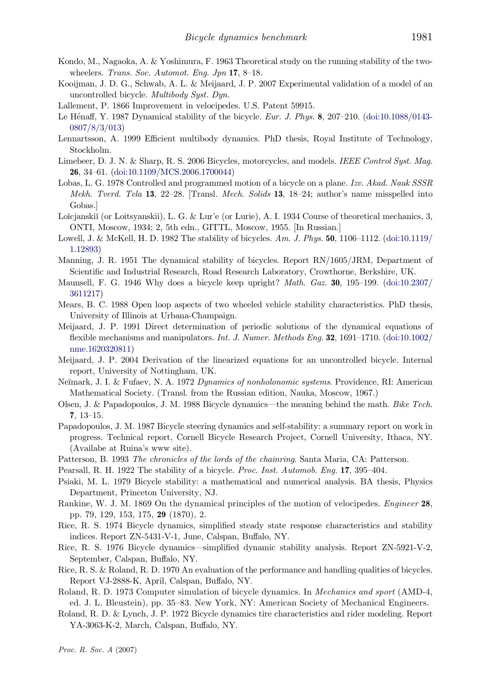- <span id="page-26-0"></span>Kondo, M., Nagaoka, A. & Yoshimura, F. 1963 Theoretical study on the running stability of the twowheelers. Trans. Soc. Automot. Eng. Jpn 17, 8-18.
- Kooijman, J. D. G., Schwab, A. L. & Meijaard, J. P. 2007 Experimental validation of a model of an uncontrolled bicycle. Multibody Syst. Dyn.
- Lallement, P. 1866 Improvement in velocipedes. U.S. Patent 59915.
- Le Hénaff, Y. 1987 Dynamical stability of the bicycle. Eur. J. Phys. 8, 207–210. [\(doi:10.1088/0143-](http://dx.doi.org/doi:10.1088/0143-0807/8/3/013) [0807/8/3/013\)](http://dx.doi.org/doi:10.1088/0143-0807/8/3/013)
- Lennartsson, A. 1999 Efficient multibody dynamics. PhD thesis, Royal Institute of Technology, Stockholm.
- Limebeer, D. J. N. & Sharp, R. S. 2006 Bicycles, motorcycles, and models. IEEE Control Syst. Mag. 26, 34–61. ([doi:10.1109/MCS.2006.1700044](http://dx.doi.org/doi:10.1109/MCS.2006.1700044))
- Lobas, L. G. 1978 Controlled and programmed motion of a bicycle on a plane. Izv. Akad. Nauk SSSR Mekh. Tverd. Tela 13, 22–28. [Transl. Mech. Solids 13, 18–24; author's name misspelled into Gobas.]
- Loïçianskiĭ (or Loitsyanskii), L. G. & Lur'e (or Lurie), A. I. 1934 Course of theoretical mechanics, 3, ONTI, Moscow, 1934; 2, 5th edn., GITTL, Moscow, 1955. [In Russian.]
- Lowell, J. & McKell, H. D. 1982 The stability of bicycles. Am. J. Phys. 50, 1106–1112. [\(doi:10.1119/](http://dx.doi.org/doi:10.1119/1.12893) [1.12893](http://dx.doi.org/doi:10.1119/1.12893))
- Manning, J. R. 1951 The dynamical stability of bicycles. Report RN/1605/JRM, Department of Scientific and Industrial Research, Road Research Laboratory, Crowthorne, Berkshire, UK.
- Maunsell, F. G. 1946 Why does a bicycle keep upright? Math. Gaz. 30, 195–199. [\(doi:10.2307/](http://dx.doi.org/doi:10.2307/3611217) [3611217\)](http://dx.doi.org/doi:10.2307/3611217)
- Mears, B. C. 1988 Open loop aspects of two wheeled vehicle stability characteristics. PhD thesis, University of Illinois at Urbana-Champaign.
- Meijaard, J. P. 1991 Direct determination of periodic solutions of the dynamical equations of flexible mechanisms and manipulators. Int. J. Numer. Methods Eng. 32, 1691–1710. [\(doi:10.1002/](http://dx.doi.org/doi:10.1002/nme.1620320811) [nme.1620320811\)](http://dx.doi.org/doi:10.1002/nme.1620320811)
- Meijaard, J. P. 2004 Derivation of the linearized equations for an uncontrolled bicycle. Internal report, University of Nottingham, UK.
- Neĭmark, J. I. & Fufaev, N. A. 1972 Dynamics of nonholonomic systems. Providence, RI: American Mathematical Society. (Transl. from the Russian edition, Nauka, Moscow, 1967.)
- Olsen, J. & Papadopoulos, J. M. 1988 Bicycle dynamics—the meaning behind the math. Bike Tech. 7, 13–15.
- Papadopoulos, J. M. 1987 Bicycle steering dynamics and self-stability: a summary report on work in progress. Technical report, Cornell Bicycle Research Project, Cornell University, Ithaca, NY. (Availabe at Ruina's www site).
- Patterson, B. 1993 The chronicles of the lords of the chainring. Santa Maria, CA: Patterson.
- Pearsall, R. H. 1922 The stability of a bicycle. Proc. Inst. Automob. Eng. 17, 395–404.
- Psiaki, M. L. 1979 Bicycle stability: a mathematical and numerical analysis. BA thesis, Physics Department, Princeton University, NJ.
- Rankine, W. J. M. 1869 On the dynamical principles of the motion of velocipedes. *Engineer* 28, pp. 79, 129, 153, 175, 29 (1870), 2.
- Rice, R. S. 1974 Bicycle dynamics, simplified steady state response characteristics and stability indices. Report ZN-5431-V-1, June, Calspan, Buffalo, NY.
- Rice, R. S. 1976 Bicycle dynamics—simplified dynamic stability analysis. Report ZN-5921-V-2, September, Calspan, Buffalo, NY.
- Rice, R. S. & Roland, R. D. 1970 An evaluation of the performance and handling qualities of bicycles. Report VJ-2888-K, April, Calspan, Buffalo, NY.
- Roland, R. D. 1973 Computer simulation of bicycle dynamics. In Mechanics and sport (AMD-4, ed. J. L. Bleustein), pp. 35–83. New York, NY: American Society of Mechanical Engineers.
- Roland, R. D. & Lynch, J. P. 1972 Bicycle dynamics tire characteristics and rider modeling. Report YA-3063-K-2, March, Calspan, Buffalo, NY.